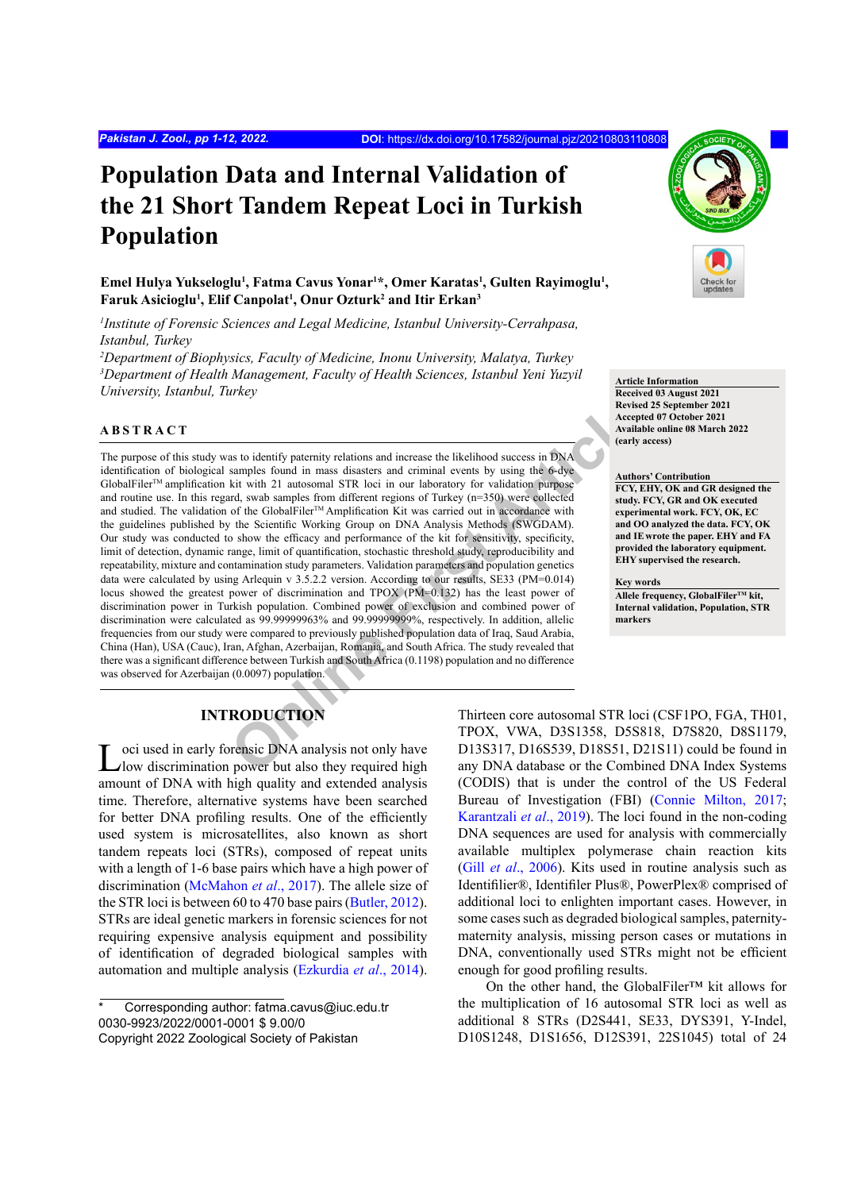# **Population Data and Internal Validation of the 21 Short Tandem Repeat Loci in Turkish Population**

Emel Hulya Yukseloglu<sup>1</sup>, Fatma Cavus Yonar<sup>1\*</sup>, Omer Karatas<sup>1</sup>, Gulten Rayimoglu<sup>1</sup>, **Faruk Asicioglu1 , Elif Canpolat1 , Onur Ozturk2 and Itir Erkan3**

*1 Institute of Forensic Sciences and Legal Medicine, Istanbul University-Cerrahpasa, Istanbul, Turkey*

*2 Department of Biophysics, Faculty of Medicine, Inonu University, Malatya, Turkey 3 Department of Health Management, Faculty of Health Sciences, Istanbul Yeni Yuzyil University, Istanbul, Turkey*

#### **ABSTRACT**

Revise to identify paternity relations and increase the likelihood success in DNA<br>
Arecent Arealists Arendo Samples found in mass disasters and criminal events by using the 6-dye<br>
Article are are the control of the Colorad The purpose of this study was to identify paternity relations and increase the likelihood success in DNA identification of biological samples found in mass disasters and criminal events by using the 6-dye GlobalFiler<sup>TM</sup> amplification kit with 21 autosomal STR loci in our laboratory for validation purpose and routine use. In this regard, swab samples from different regions of Turkey (n=350) were collected and studied. The validation of the GlobalFiler™ Amplification Kit was carried out in accordance with the guidelines published by the Scientific Working Group on DNA Analysis Methods (SWGDAM). Our study was conducted to show the efficacy and performance of the kit for sensitivity, specificity, limit of detection, dynamic range, limit of quantification, stochastic threshold study, reproducibility and repeatability, mixture and contamination study parameters. Validation parameters and population genetics data were calculated by using Arlequin v 3.5.2.2 version. According to our results, SE33 (PM=0.014) locus showed the greatest power of discrimination and TPOX (PM=0.132) has the least power of discrimination power in Turkish population. Combined power of exclusion and combined power of discrimination were calculated as 99.99999963% and 99.99999999%, respectively. In addition, allelic frequencies from our study were compared to previously published population data of Iraq, Saud Arabia, China (Han), USA (Cauc), Iran, Afghan, Azerbaijan, Romania, and South Africa. The study revealed that there was a significant difference between Turkish and South Africa (0.1198) population and no difference was observed for Azerbaijan (0.0097) population.

#### **Article Information**

**Received 03 August 2021 Revised 25 September 2021 Accepted 07 October 2021 Available online 08 March 2022 (early access)**

#### **Authors' Contribution**

**FCY, EHY, OK and GR designed the study. FCY, GR and OK executed experimental work. FCY, OK, EC and OO analyzed the data. FCY, OK and IE wrote the paper. EHY and FA provided the laboratory equipment. EHY supervised the research.** 

**Key words**

**Allele frequency, GlobalFilerTM kit, Internal validation, Population, STR markers**

## **INTRODUCTION**

Loci used in early forensic DNA analysis not only have low discrimination power but also they required high amount of DNA with high quality and extended analysis time. Therefore, alternative systems have been searched for better DNA profiling results. One of the efficiently used system is microsatellites, also known as short tandem repeats loci (STRs), composed of repeat units with a length of 1-6 base pairs which have a high power of discrimination ([McMahon](#page-10-0) *et al*., 2017). The allele size of the STR loci is between 60 to 470 base pairs [\(Butler, 2012](#page-10-1)). STRs are ideal genetic markers in forensic sciences for not requiring expensive analysis equipment and possibility of identification of degraded biological samples with automation and multiple analysis ([Ezkurdia](#page-10-2) *et al*., 2014).

Thirteen core autosomal STR loci (CSF1PO, FGA, TH01, TPOX, VWA, D3S1358, D5S818, D7S820, D8S1179, D13S317, D16S539, D18S51, D21S11) could be found in any DNA database or the Combined DNA Index Systems (CODIS) that is under the control of the US Federal Bureau of Investigation (FBI) [\(Connie Milton, 2017](#page-10-3); [Karantzali](#page-10-4) *et al*., 2019). The loci found in the non-coding DNA sequences are used for analysis with commercially available multiplex polymerase chain reaction kits (Gill *et al*[., 2006](#page-10-5)). Kits used in routine analysis such as Identifilier®, Identifiler Plus®, PowerPlex® comprised of additional loci to enlighten important cases. However, in some cases such as degraded biological samples, paternitymaternity analysis, missing person cases or mutations in DNA, conventionally used STRs might not be efficient enough for good profiling results.

On the other hand, the GlobalFiler™ kit allows for the multiplication of 16 autosomal STR loci as well as additional 8 STRs (D2S441, SE33, DYS391, Y-Indel, D10S1248, D1S1656, D12S391, 22S1045) total of 24

Corresponding author: fatma.cavus@iuc.edu.tr 0030-9923/2022/0001-0001 \$ 9.00/0 Copyright 2022 Zoological Society of Pakistan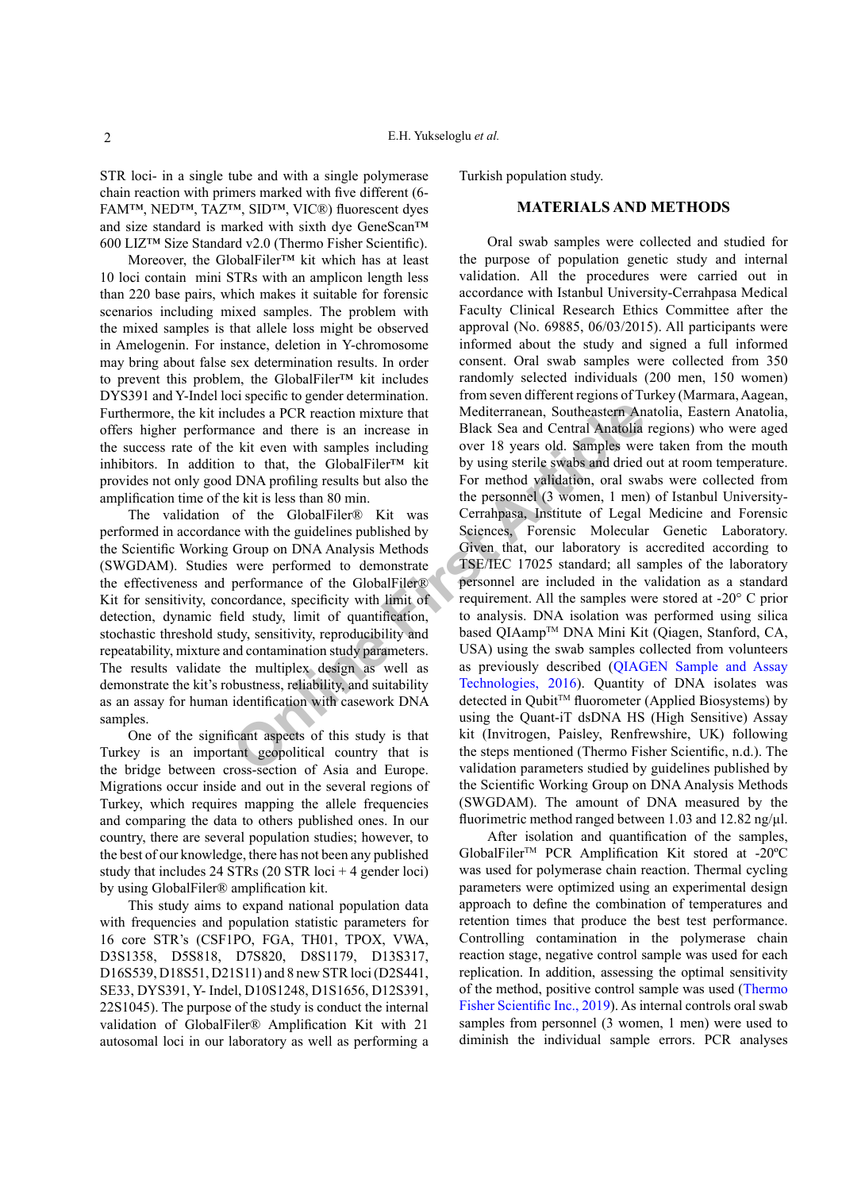STR loci- in a single tube and with a single polymerase chain reaction with primers marked with five different (6- FAM™, NED™, TAZ™, SID™, VIC®) fluorescent dyes and size standard is marked with sixth dye GeneScan™ 600 LIZ™ Size Standard v2.0 (Thermo Fisher Scientific).

Moreover, the GlobalFiler™ kit which has at least 10 loci contain mini STRs with an amplicon length less than 220 base pairs, which makes it suitable for forensic scenarios including mixed samples. The problem with the mixed samples is that allele loss might be observed in Amelogenin. For instance, deletion in Y-chromosome may bring about false sex determination results. In order to prevent this problem, the GlobalFiler™ kit includes DYS391 and Y-Indel loci specific to gender determination. Furthermore, the kit includes a PCR reaction mixture that offers higher performance and there is an increase in the success rate of the kit even with samples including inhibitors. In addition to that, the GlobalFiler™ kit provides not only good DNA profiling results but also the amplification time of the kit is less than 80 min.

The validation of the GlobalFiler® Kit was performed in accordance with the guidelines published by the Scientific Working Group on DNA Analysis Methods (SWGDAM). Studies were performed to demonstrate the effectiveness and performance of the GlobalFiler® Kit for sensitivity, concordance, specificity with limit of detection, dynamic field study, limit of quantification, stochastic threshold study, sensitivity, reproducibility and repeatability, mixture and contamination study parameters. The results validate the multiplex design as well as demonstrate the kit's robustness, reliability, and suitability as an assay for human identification with casework DNA samples.

One of the significant aspects of this study is that Turkey is an important geopolitical country that is the bridge between cross-section of Asia and Europe. Migrations occur inside and out in the several regions of Turkey, which requires mapping the allele frequencies and comparing the data to others published ones. In our country, there are several population studies; however, to the best of our knowledge, there has not been any published study that includes 24 STRs (20 STR loci + 4 gender loci) by using GlobalFiler® amplification kit.

This study aims to expand national population data with frequencies and population statistic parameters for 16 core STR's (CSF1PO, FGA, TH01, TPOX, VWA, D3S1358, D5S818, D7S820, D8S1179, D13S317, D16S539, D18S51, D21S11) and 8 new STR loci (D2S441, SE33, DYS391, Y- Indel, D10S1248, D1S1656, D12S391, 22S1045). The purpose of the study is conduct the internal validation of GlobalFiler® Amplification Kit with 21 autosomal loci in our laboratory as well as performing a Turkish population study.

### **MATERIALS AND METHODS**

Compare and there is an increase in Mediterranean, Southeastern An ance and there is an increase in Black Sea and Central Anatolia<br>
2 kit even with samples including over 18 years old. Samples were in to that, the GlobalFi Oral swab samples were collected and studied for the purpose of population genetic study and internal validation. All the procedures were carried out in accordance with Istanbul University-Cerrahpasa Medical Faculty Clinical Research Ethics Committee after the approval (No. 69885, 06/03/2015). All participants were informed about the study and signed a full informed consent. Oral swab samples were collected from 350 randomly selected individuals (200 men, 150 women) from seven different regions of Turkey (Marmara, Aagean, Mediterranean, Southeastern Anatolia, Eastern Anatolia, Black Sea and Central Anatolia regions) who were aged over 18 years old. Samples were taken from the mouth by using sterile swabs and dried out at room temperature. For method validation, oral swabs were collected from the personnel (3 women, 1 men) of Istanbul University-Cerrahpasa, Institute of Legal Medicine and Forensic Sciences, Forensic Molecular Genetic Laboratory. Given that, our laboratory is accredited according to TSE/IEC 17025 standard; all samples of the laboratory personnel are included in the validation as a standard requirement. All the samples were stored at -20° C prior to analysis. DNA isolation was performed using silica based QIAamp™ DNA Mini Kit (Qiagen, Stanford, CA, USA) using the swab samples collected from volunteers as previously described ([QIAGEN Sample and Assay](#page-10-6) Technologies, 2016). Quantity of DNA isolates was detected in Qubit<sup>™</sup> fluorometer (Applied Biosystems) by using the Quant-iT dsDNA HS (High Sensitive) Assay kit (Invitrogen, Paisley, Renfrewshire, UK) following the steps mentioned (Thermo Fisher Scientific, n.d.). The validation parameters studied by guidelines published by the Scientific Working Group on DNA Analysis Methods (SWGDAM). The amount of DNA measured by the fluorimetric method ranged between 1.03 and 12.82 ng/μl.

> After isolation and quantification of the samples, GlobalFilerTM PCR Amplification Kit stored at -20ºC was used for polymerase chain reaction. Thermal cycling parameters were optimized using an experimental design approach to define the combination of temperatures and retention times that produce the best test performance. Controlling contamination in the polymerase chain reaction stage, negative control sample was used for each replication. In addition, assessing the optimal sensitivity of the method, positive control sample was used ([Thermo](#page-11-0) [Fisher Scientific Inc., 2019\)](#page-11-0). As internal controls oral swab samples from personnel (3 women, 1 men) were used to diminish the individual sample errors. PCR analyses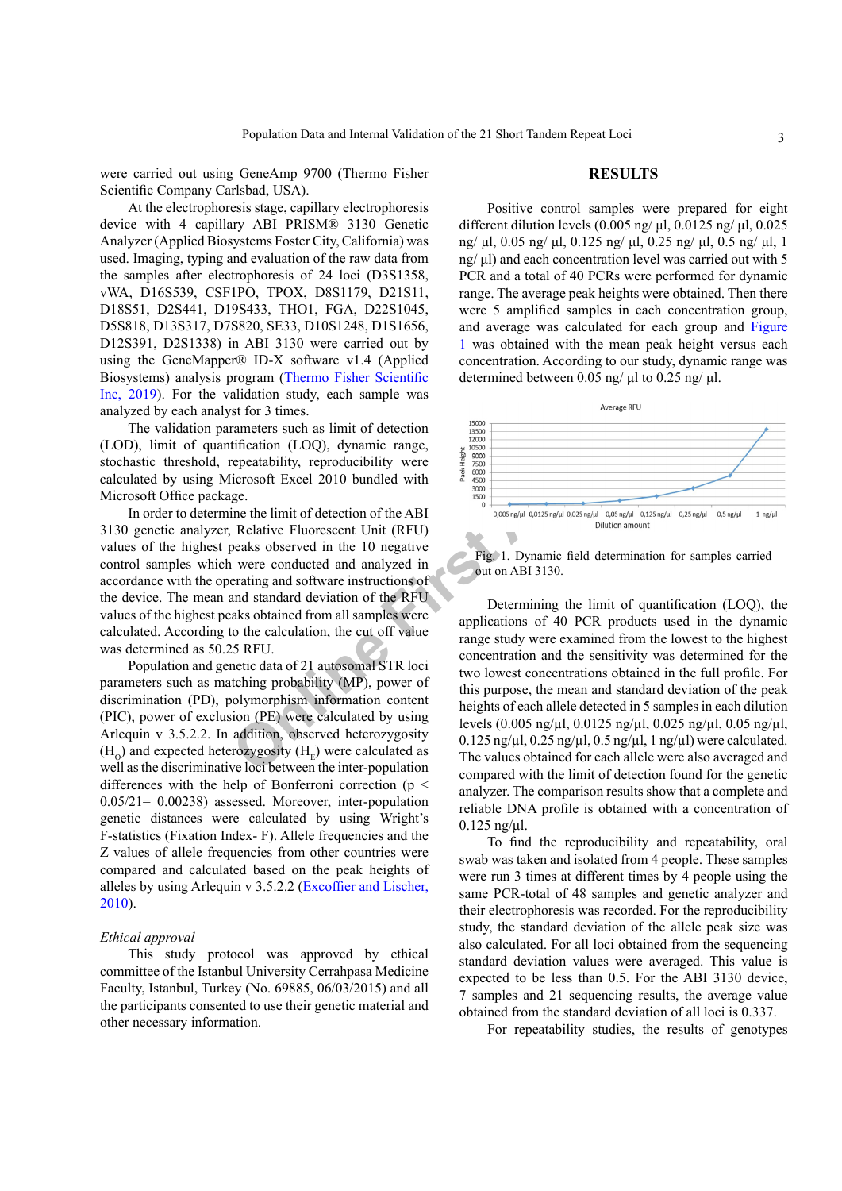were carried out using GeneAmp 9700 (Thermo Fisher Scientific Company Carlsbad, USA).

At the electrophoresis stage, capillary electrophoresis device with 4 capillary ABI PRISM® 3130 Genetic Analyzer (Applied Biosystems Foster City, California) was used. Imaging, typing and evaluation of the raw data from the samples after electrophoresis of 24 loci (D3S1358, vWA, D16S539, CSF1PO, TPOX, D8S1179, D21S11, D18S51, D2S441, D19S433, THO1, FGA, D22S1045, D5S818, D13S317, D7S820, SE33, D10S1248, D1S1656, D12S391, D2S1338) in ABI 3130 were carried out by using the GeneMapper® ID-X software v1.4 (Applied Biosystems) analysis program [\(Thermo Fisher Scientific](#page-11-0) [Inc, 2019\)](#page-11-0). For the validation study, each sample was analyzed by each analyst for 3 times.

The validation parameters such as limit of detection (LOD), limit of quantification (LOQ), dynamic range, stochastic threshold, repeatability, reproducibility were calculated by using Microsoft Excel 2010 bundled with Microsoft Office package.

In order to determine the limit of detection of the ABI 3130 genetic analyzer, Relative Fluorescent Unit (RFU) values of the highest peaks observed in the 10 negative control samples which were conducted and analyzed in accordance with the operating and software instructions of the device. The mean and standard deviation of the RFU values of the highest peaks obtained from all samples were calculated. According to the calculation, the cut off value was determined as 50.25 RFU.

Population and genetic data of 21 autosomal STR loci parameters such as matching probability (MP), power of discrimination (PD), polymorphism information content (PIC), power of exclusion (PE) were calculated by using Arlequin v 3.5.2.2. In addition, observed heterozygosity  $(H<sub>o</sub>)$  and expected heterozygosity  $(H<sub>r</sub>)$  were calculated as well as the discriminative loci between the inter-population differences with the help of Bonferroni correction ( $p \le$ 0.05/21= 0.00238) assessed. Moreover, inter-population genetic distances were calculated by using Wright's F-statistics (Fixation Index- F). Allele frequencies and the Z values of allele frequencies from other countries were compared and calculated based on the peak heights of alleles by using Arlequin v 3.5.2.2 [\(Excoffier and Lischer,](#page-10-7) [2010\)](#page-10-7).

#### *Ethical approval*

This study protocol was approved by ethical committee of the Istanbul University Cerrahpasa Medicine Faculty, Istanbul, Turkey (No. 69885, 06/03/2015) and all the participants consented to use their genetic material and other necessary information.

#### **RESULTS**

Positive control samples were prepared for eight different dilution levels (0.005 ng/ μl, 0.0125 ng/ μl, 0.025 ng/ μl, 0.05 ng/ μl, 0.125 ng/ μl, 0.25 ng/ μl, 0.5 ng/ μl, 1 ng/ μl) and each concentration level was carried out with 5 PCR and a total of 40 PCRs were performed for dynamic range. The average peak heights were obtained. Then there were 5 amplified samples in each concentration group, and average was calculated for each group and [Figure](#page-2-0) [1](#page-2-0) was obtained with the mean peak height versus each concentration. According to our study, dynamic range was determined between 0.05 ng/ μl to 0.25 ng/ μl.



<span id="page-2-0"></span>Fig. 1. Dynamic field determination for samples carried out on ABI 3130.

For 3 times.<br>
Transferentability, reproducibility were<br>
tification (LOQ), dynamic range,<br>
tification (LOQ), dynamic range,<br>
tification (LOQ), dynamic range,<br>
ticrosoft Excel 2010 bundled with<br>
ge.<br>
ine the limit of detect Determining the limit of quantification (LOQ), the applications of 40 PCR products used in the dynamic range study were examined from the lowest to the highest concentration and the sensitivity was determined for the two lowest concentrations obtained in the full profile. For this purpose, the mean and standard deviation of the peak heights of each allele detected in 5 samples in each dilution levels (0.005 ng/µl, 0.0125 ng/µl, 0.025 ng/µl, 0.05 ng/µl,  $0.125$  ng/ $\mu$ l,  $0.25$  ng/ $\mu$ l,  $0.5$  ng/ $\mu$ l, 1 ng/ $\mu$ l) were calculated. The values obtained for each allele were also averaged and compared with the limit of detection found for the genetic analyzer. The comparison results show that a complete and reliable DNA profile is obtained with a concentration of  $0.125$  ng/ $\mu$ l.

> To find the reproducibility and repeatability, oral swab was taken and isolated from 4 people. These samples were run 3 times at different times by 4 people using the same PCR-total of 48 samples and genetic analyzer and their electrophoresis was recorded. For the reproducibility study, the standard deviation of the allele peak size was also calculated. For all loci obtained from the sequencing standard deviation values were averaged. This value is expected to be less than 0.5. For the ABI 3130 device, 7 samples and 21 sequencing results, the average value obtained from the standard deviation of all loci is 0.337.

For repeatability studies, the results of genotypes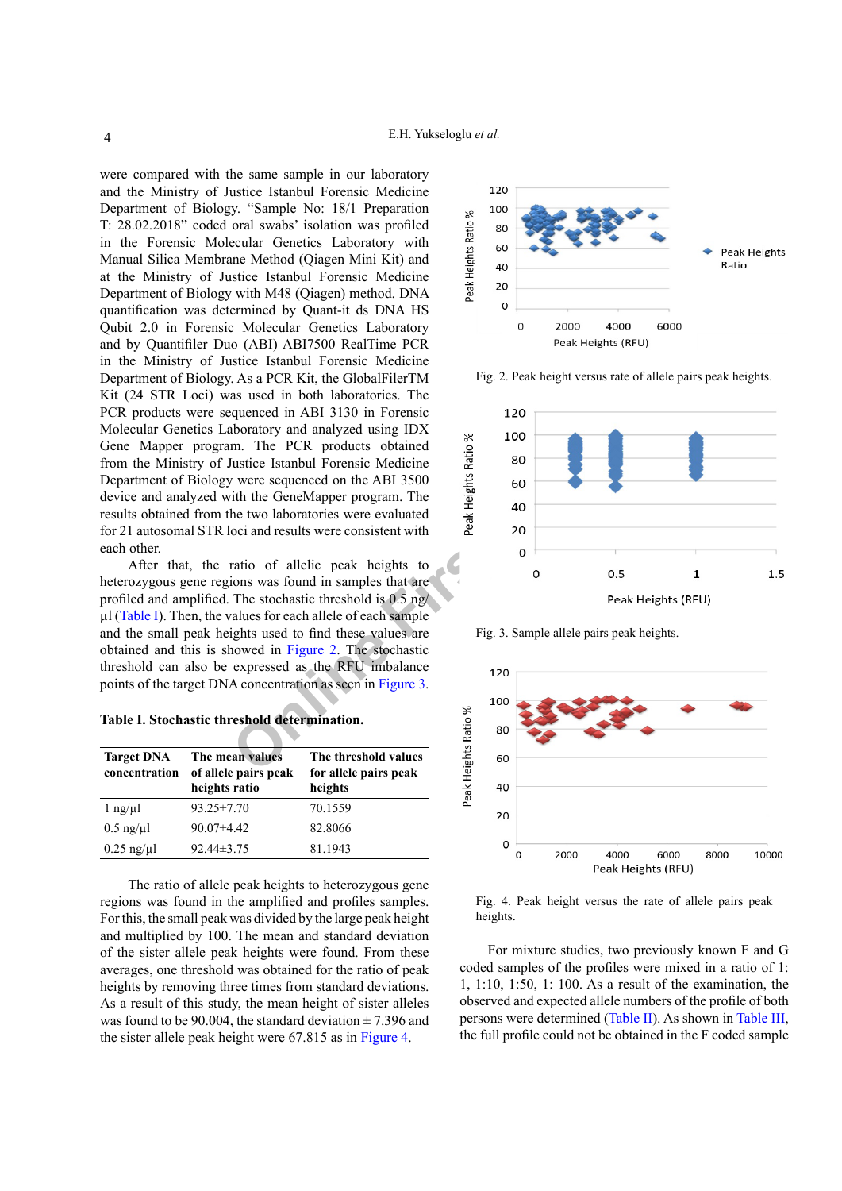were compared with the same sample in our laboratory and the Ministry of Justice Istanbul Forensic Medicine Department of Biology. "Sample No: 18/1 Preparation T: 28.02.2018" coded oral swabs' isolation was profiled in the Forensic Molecular Genetics Laboratory with Manual Silica Membrane Method (Qiagen Mini Kit) and at the Ministry of Justice Istanbul Forensic Medicine Department of Biology with M48 (Qiagen) method. DNA quantification was determined by Quant-it ds DNA HS Qubit 2.0 in Forensic Molecular Genetics Laboratory and by Quantifiler Duo (ABI) ABI7500 RealTime PCR in the Ministry of Justice Istanbul Forensic Medicine Department of Biology. As a PCR Kit, the GlobalFilerTM Kit (24 STR Loci) was used in both laboratories. The PCR products were sequenced in ABI 3130 in Forensic Molecular Genetics Laboratory and analyzed using IDX Gene Mapper program. The PCR products obtained from the Ministry of Justice Istanbul Forensic Medicine Department of Biology were sequenced on the ABI 3500 device and analyzed with the GeneMapper program. The results obtained from the two laboratories were evaluated for 21 autosomal STR loci and results were consistent with each other.

After that, the ratio of allelic peak heights to heterozygous gene regions was found in samples that are profiled and amplified. The stochastic threshold is 0.5 ng/ µl ([Table I](#page-3-0)). Then, the values for each allele of each sample and the small peak heights used to find these values are obtained and this is showed in Figure 2. The stochastic threshold can also be expressed as the RFU imbalance points of the target DNA concentration as seen in Figure 3.

<span id="page-3-0"></span>**Table I. Stochastic threshold determination.**

| <b>Target DNA</b><br>concentration | The mean values<br>of allele pairs peak<br>heights ratio | The threshold values<br>for allele pairs peak<br>heights |
|------------------------------------|----------------------------------------------------------|----------------------------------------------------------|
| $1$ ng/ $\mu$ l                    | $93.25 \pm 7.70$                                         | 70.1559                                                  |
| $0.5$ ng/ $\mu$ l                  | $90.07\pm4.42$                                           | 82.8066                                                  |
| $0.25$ ng/ $\mu$ l                 | $92.44\pm3.75$                                           | 81.1943                                                  |

The ratio of allele peak heights to heterozygous gene regions was found in the amplified and profiles samples. For this, the small peak was divided by the large peak height and multiplied by 100. The mean and standard deviation of the sister allele peak heights were found. From these averages, one threshold was obtained for the ratio of peak heights by removing three times from standard deviations. As a result of this study, the mean height of sister alleles was found to be 90.004, the standard deviation  $\pm$  7.396 and the sister allele peak height were 67.815 as in [Figure 4](#page-3-3).



<span id="page-3-1"></span>Fig. 2. Peak height versus rate of allele pairs peak heights.



<span id="page-3-2"></span>Fig. 3. Sample allele pairs peak heights.



<span id="page-3-3"></span>Fig. 4. Peak height versus the rate of allele pairs peak heights.

For mixture studies, two previously known F and G coded samples of the profiles were mixed in a ratio of 1: 1, 1:10, 1:50, 1: 100. As a result of the examination, the observed and expected allele numbers of the profile of both persons were determined [\(Table II\)](#page-4-0). As shown in [Table III](#page-4-1), the full profile could not be obtained in the F coded sample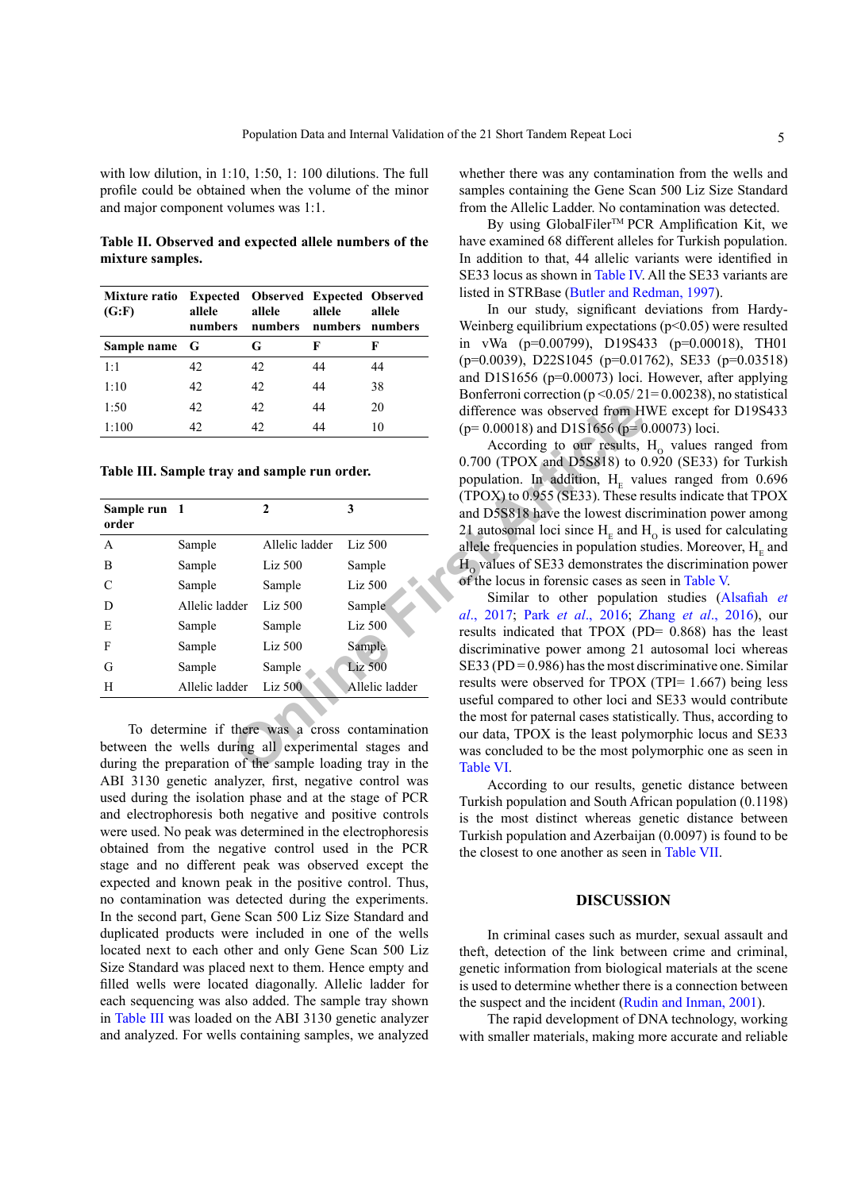with low dilution, in 1:10, 1:50, 1:100 dilutions. The full profile could be obtained when the volume of the minor and major component volumes was 1:1.

<span id="page-4-0"></span>**Table II. Observed and expected allele numbers of the mixture samples.**

| Mixture ratio<br>(G:F) | allele<br>numbers | <b>Expected Observed Expected Observed</b><br>allele | allele<br>numbers numbers numbers | allele |  |  |  |
|------------------------|-------------------|------------------------------------------------------|-----------------------------------|--------|--|--|--|
| Sample name G          |                   | G                                                    | F                                 | F      |  |  |  |
| 1:1                    | 42                | 42                                                   | 44                                | 44     |  |  |  |
| 1:10                   | 42                | 42                                                   | 44                                | 38     |  |  |  |
| 1:50                   | 42                | 42                                                   | 44                                | 20     |  |  |  |
| 1:100                  | 42                | 42                                                   | 44                                | 10     |  |  |  |

<span id="page-4-1"></span>**Table III. Sample tray and sample run order.**

| 1:50                  | 42                                           | 42             | 44 | 20                                                                                                                                                                  | difference was observed from H                                                                                                                               |
|-----------------------|----------------------------------------------|----------------|----|---------------------------------------------------------------------------------------------------------------------------------------------------------------------|--------------------------------------------------------------------------------------------------------------------------------------------------------------|
| 1:100                 | 42                                           | 42             | 44 | 10                                                                                                                                                                  | $(p=0.00018)$ and D1S1656 ( $p=0$                                                                                                                            |
|                       | Table III. Sample tray and sample run order. |                |    |                                                                                                                                                                     | According to our results,<br>$0.700$ (TPOX and D5S818) to 0<br>population. In addition, H <sub>E</sub> val<br>$(TPOX)$ to 0.955 (SE33). These re             |
| Sample run 1<br>order |                                              | $\mathbf{2}$   |    | 3                                                                                                                                                                   | and D5S818 have the lowest disc<br>21 autosomal loci since $HE$ and F                                                                                        |
| A                     | Sample                                       | Allelic ladder |    | $Liz$ 500                                                                                                                                                           | allele frequencies in population s                                                                                                                           |
| B                     | Sample                                       | $Liz$ 500      |    | Sample                                                                                                                                                              | $H_0$ values of SE33 demonstrates                                                                                                                            |
| C                     | Sample                                       | Sample         |    | Liz 500                                                                                                                                                             | of the locus in forensic cases as s                                                                                                                          |
| D                     | Allelic ladder                               | $Liz$ 500      |    | Sample                                                                                                                                                              | Similar to other population                                                                                                                                  |
| E                     | Sample                                       | Sample         |    | Liz 500                                                                                                                                                             | al., 2017; Park et al., 2016; Z<br>results indicated that TPOX (P)                                                                                           |
| F                     | Sample                                       | $Liz$ 500      |    | Sample                                                                                                                                                              | discriminative power among 21                                                                                                                                |
| G                     | Sample                                       | Sample         |    | Liz 500                                                                                                                                                             | SE33 (PD = $0.986$ ) has the most di                                                                                                                         |
| H                     | Allelic ladder                               | Liz 500        |    | Allelic ladder                                                                                                                                                      | results were observed for TPOX                                                                                                                               |
|                       |                                              |                |    | To determine if there was a cross contamination<br>between the wells during all experimental stages and<br>during the preparation of the sample loading tray in the | useful compared to other loci and<br>the most for paternal cases statist<br>our data, TPOX is the least poly<br>was concluded to be the most po<br>Table VI. |

To determine if there was a cross contamination between the wells during all experimental stages and during the preparation of the sample loading tray in the ABI 3130 genetic analyzer, first, negative control was used during the isolation phase and at the stage of PCR and electrophoresis both negative and positive controls were used. No peak was determined in the electrophoresis obtained from the negative control used in the PCR stage and no different peak was observed except the expected and known peak in the positive control. Thus, no contamination was detected during the experiments. In the second part, Gene Scan 500 Liz Size Standard and duplicated products were included in one of the wells located next to each other and only Gene Scan 500 Liz Size Standard was placed next to them. Hence empty and filled wells were located diagonally. Allelic ladder for each sequencing was also added. The sample tray shown in [Table III](#page-4-1) was loaded on the ABI 3130 genetic analyzer and analyzed. For wells containing samples, we analyzed whether there was any contamination from the wells and samples containing the Gene Scan 500 Liz Size Standard from the Allelic Ladder. No contamination was detected.

By using GlobalFiler<sup>™</sup> PCR Amplification Kit, we have examined 68 different alleles for Turkish population. In addition to that, 44 allelic variants were identified in SE33 locus as shown in [Table IV.](#page-5-0) All the SE33 variants are listed in STRBase ([Butler and Redman,](#page-10-8) 1997).

In our study, significant deviations from Hardy-Weinberg equilibrium expectations  $(p<0.05)$  were resulted in vWa (p=0.00799), D19S433 (p=0.00018), TH01 (p=0.0039), D22S1045 (p=0.01762), SE33 (p=0.03518) and D1S1656 (p=0.00073) loci. However, after applying Bonferroni correction ( $p \le 0.05/21 = 0.00238$ ), no statistical difference was observed from HWE except for D19S433  $(p= 0.00018)$  and D1S1656 ( $p= 0.00073$ ) loci.

According to our results,  $H_0$  values ranged from 0.700 (TPOX and D5S818) to 0.920 (SE33) for Turkish population. In addition,  $H<sub>E</sub>$  values ranged from 0.696 (TPOX) to 0.955 (SE33). These results indicate that TPOX and D5S818 have the lowest discrimination power among 21 autosomal loci since  $H<sub>E</sub>$  and  $H<sub>O</sub>$  is used for calculating allele frequencies in population studies. Moreover,  $H<sub>E</sub>$  and  $H<sub>o</sub>$  values of SE33 demonstrates the discrimination power of the locus in forensic cases as seen in [Table V](#page-7-0).

Similar to other population studies ([Alsafiah](#page-9-0) *et al*., 2017; Park *et al*., 2016; Zhang *et al*[., 2016\)](#page-11-1), our results indicated that TPOX (PD= 0.868) has the least discriminative power among 21 autosomal loci whereas  $SE33 (PD = 0.986)$  has the most discriminative one. Similar results were observed for TPOX (TPI= 1.667) being less useful compared to other loci and SE33 would contribute the most for paternal cases statistically. Thus, according to our data, TPOX is the least polymorphic locus and SE33 was concluded to be the most polymorphic one as seen in Table VI.

According to our results, genetic distance between Turkish population and South African population (0.1198) is the most distinct whereas genetic distance between Turkish population and Azerbaijan (0.0097) is found to be the closest to one another as seen in [Table VII](#page-8-1).

#### **DISCUSSION**

In criminal cases such as murder, sexual assault and theft, detection of the link between crime and criminal, genetic information from biological materials at the scene is used to determine whether there is a connection between the suspect and the incident [\(Rudin and Inman, 2001\)](#page-10-10).

The rapid development of DNA technology, working with smaller materials, making more accurate and reliable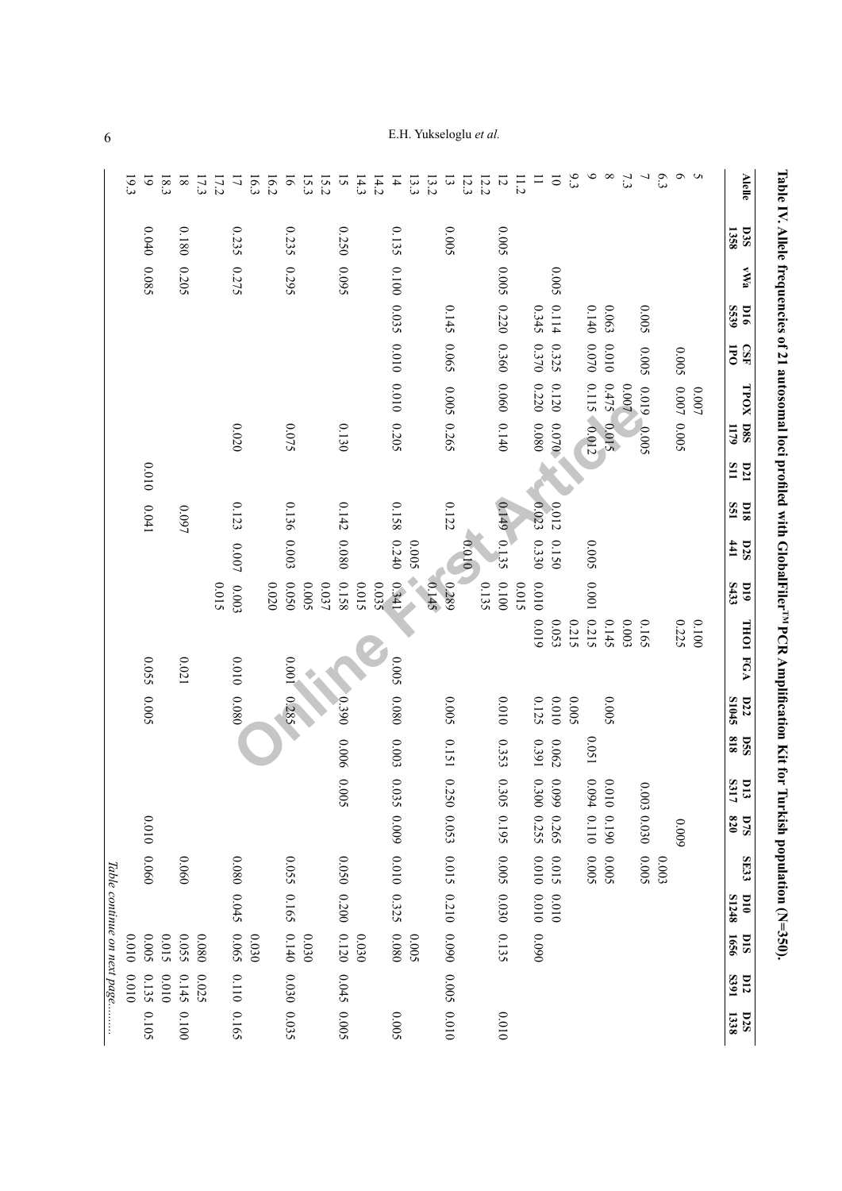|                             | 19.3  | $\tilde{\circ}$ | 18.3  | $\overline{8}$ | 17.3  | 17.2  | $\overline{a}$  | 16.3  | 16.2  | $\tilde{e}$ | 15.3  | 15.2      | $\tilde{5}$ | 14.3  | 14.2  | $\overline{4}$                | 13.3  | 13.2  | $\tilde{3}$    | 12.3  | 12.2  | $\overline{5}$  | $\frac{11.2}{2}$ | $\equiv$    | $\overline{\circ}$ | 9.3   | $\circ$             | $\infty$    | 7.3   | ┙           | 6.3   | n o           |         |              | <b>Alelle</b>                              |
|-----------------------------|-------|-----------------|-------|----------------|-------|-------|-----------------|-------|-------|-------------|-------|-----------|-------------|-------|-------|-------------------------------|-------|-------|----------------|-------|-------|-----------------|------------------|-------------|--------------------|-------|---------------------|-------------|-------|-------------|-------|---------------|---------|--------------|--------------------------------------------|
|                             |       | 0.040           |       | 0.180          |       |       | 0.235           |       |       | 0.235       |       |           | 0.250       |       |       | 0.135                         |       |       | S00°0          |       |       | 500.0           |                  |             |                    |       |                     |             |       |             |       |               |         | 1358         | <b>D3S</b>                                 |
|                             |       | 0.085           |       | 0.205          |       |       | 0.275           |       |       | 0.295       |       |           | 5600        |       |       |                               |       |       |                |       |       | 5000            |                  |             | 5000               |       |                     |             |       |             |       |               |         |              | AWa                                        |
|                             |       |                 |       |                |       |       |                 |       |       |             |       |           |             |       |       |                               |       |       |                |       |       |                 |                  |             | 0.114              |       | 0.140               | 0.063       |       | 5000        |       |               |         | S539         | $\overline{16}$                            |
|                             |       |                 |       |                |       |       |                 |       |       |             |       |           |             |       |       |                               |       |       | $0.145$ 0.065  |       |       | 0.220 0.360     |                  | 0.345 0.370 | 0.325              |       | $0.070\,$           | $0.010\,$   |       | 500.0       |       | 0.005         |         | JPO          | <b>GSP</b>                                 |
|                             |       |                 |       |                |       |       |                 |       |       |             |       |           |             |       |       | 0.100 0.035 0.010 0.010 0.205 |       |       |                |       |       |                 |                  | 0.220       | 0.120              |       |                     | 0.475       | 10000 | 6100        |       |               | $0.007$ |              |                                            |
|                             |       |                 |       |                |       |       | 0.020           |       |       | 0.075       |       |           | 0.130       |       |       |                               |       |       | 0.005 0.265    |       |       | 0.060 0.140     |                  | 0.080       | 0.070              |       | $0.115 \cdot 0.012$ | 210.0       |       | $-0.005$    |       | $0.007$ 0.005 |         | 1179         | TPOX D8S                                   |
|                             |       | 0.010           |       |                |       |       |                 |       |       |             |       |           |             |       |       |                               |       |       |                |       |       |                 |                  |             |                    |       |                     |             |       |             |       |               |         | $\mathbf{u}$ | D21                                        |
|                             |       | $0.041\,$       |       | 0.097          |       |       | 0.123           |       |       | 0.136       |       |           | 0.142       |       |       | 0.158                         |       |       | 0.122          |       |       |                 |                  | 0.023       | 0.012              |       |                     |             |       |             |       |               |         | SSI          | <b>D18</b>                                 |
|                             |       |                 |       |                |       |       | $0.007$         |       |       | 0.003       |       |           | 0.080       |       |       | 0.240                         | 5000  |       |                | 010.0 |       | $0.149$ $0.135$ |                  | 0.330       | 0.150              |       | 5000                |             |       |             |       |               |         | #1           | <b>D2S</b>                                 |
|                             |       |                 |       |                |       | 0.015 | 0.003           |       | 0.020 | 0.050       | 0.005 | $0.037\,$ | 0.158       | 5100  | 0.035 | 0.341                         |       | 0.145 | 0.289          |       | 0.135 | 0.100           | 510.0            | 0100        |                    |       | $100.0$             |             |       |             |       |               |         | S433         | 010                                        |
|                             |       |                 |       |                |       |       |                 |       |       |             |       |           |             |       |       |                               |       |       |                |       |       |                 |                  | 6100        | 0.053              | 0.215 | 0.215               | 0.145       | 0.003 | 0.165       |       | 0.225         | 0010    |              |                                            |
|                             |       | 0.055           |       | $0.021\,$      |       |       | 0100            |       |       | 1000        |       |           |             |       |       | 500.0                         |       |       |                |       |       |                 |                  |             |                    |       |                     |             |       |             |       |               |         |              | <b>THOI FGA</b>                            |
|                             |       | 0.005           |       |                |       |       | 0.080           |       |       | 0.285       |       |           | 0.390       |       |       | $0.080\,$                     |       |       | <b>0.005</b>   |       |       | 0100            |                  | 0.125       | 0.010              | 5000  |                     | 5000        |       |             |       |               |         | <b>S1045</b> | <b>D22</b>                                 |
|                             |       |                 |       |                |       |       |                 |       |       |             |       |           |             |       |       | 0.003                         |       |       | 0.151          |       |       | 0.353           |                  | 16391       | 0.062              |       | 1500                |             |       |             |       |               |         | 818          | $\overline{\text{S}}\text{S}$              |
|                             |       |                 |       |                |       |       |                 |       |       |             |       |           | 0.006 0.005 |       |       | 0.035                         |       |       | 0.2            |       |       | 0.305           |                  |             | 660'0              |       |                     |             |       |             |       |               |         | <b>S317</b>  | 13                                         |
|                             |       | 0100            |       |                |       |       |                 |       |       |             |       |           |             |       |       | 6000                          |       |       | $\Im$<br>0.053 |       |       | 0.195           |                  | 0.300 0.255 | 0.265              |       | 0.094 0.110         | 0.010 0.190 |       | 0.003 0.030 |       | 6000          |         |              | $\begin{array}{c} 0.75 \\ 820 \end{array}$ |
|                             |       | 0.060           |       | 0900           |       |       |                 |       |       | 0.055       |       |           |             |       |       |                               |       |       | 0.015          |       |       | 0.005           |                  | 0.010       | 0.015              |       | 0.005               | 5000        |       | 5000        | 0.003 |               |         |              | SE33                                       |
|                             |       |                 |       |                |       |       | $0.080$ $0.045$ |       |       | 0.165       |       |           | 0.050 0.200 |       |       | 0.010 0.325                   |       |       | 0.210          |       |       | 0.030           |                  | $0.010\,$   | 0100               |       |                     |             |       |             |       |               |         | S1248        | 010                                        |
|                             | 0100  | 5000            | 0.015 | 0.055          | 0.080 |       | 590.0           | 0.030 |       | 0.140       | 030   |           | 0.120       | 0.030 |       | 0.080                         | 0.005 |       | 060'0          |       |       | 0.135           |                  | 0.090       |                    |       |                     |             |       |             |       |               |         | 1656         | DIS                                        |
| Table continue on next page | 0.010 | 0.135           | 0100  | 0.145          | 0.025 |       |                 |       |       |             |       |           | 0.045       |       |       |                               |       |       | <b>SOO</b> :0  |       |       |                 |                  |             |                    |       |                     |             |       |             |       |               |         | S391         | <b>D12</b>                                 |
|                             |       | 0.105           |       | 0010           |       |       | 0.110 0.165     |       |       | 0.030 0.035 |       |           | 0.005       |       |       | 5000                          |       |       | 0100           |       |       | 0100            |                  |             |                    |       |                     |             |       |             |       |               |         | 1338         | D2S                                        |

<span id="page-5-0"></span>**Table IV. Allele frequencies of 21 autosomal loci profiled with GlobalFiler**Table IV. Allele frequencies of 21 autosomal loci profiled with GlobalFiler<sup>TM</sup> PCR Amplification Kit for Turkish population (N=350). **PCR Amplification Kit for Turkish population (N=350).**

E.H. Yukseloglu *et al.*

6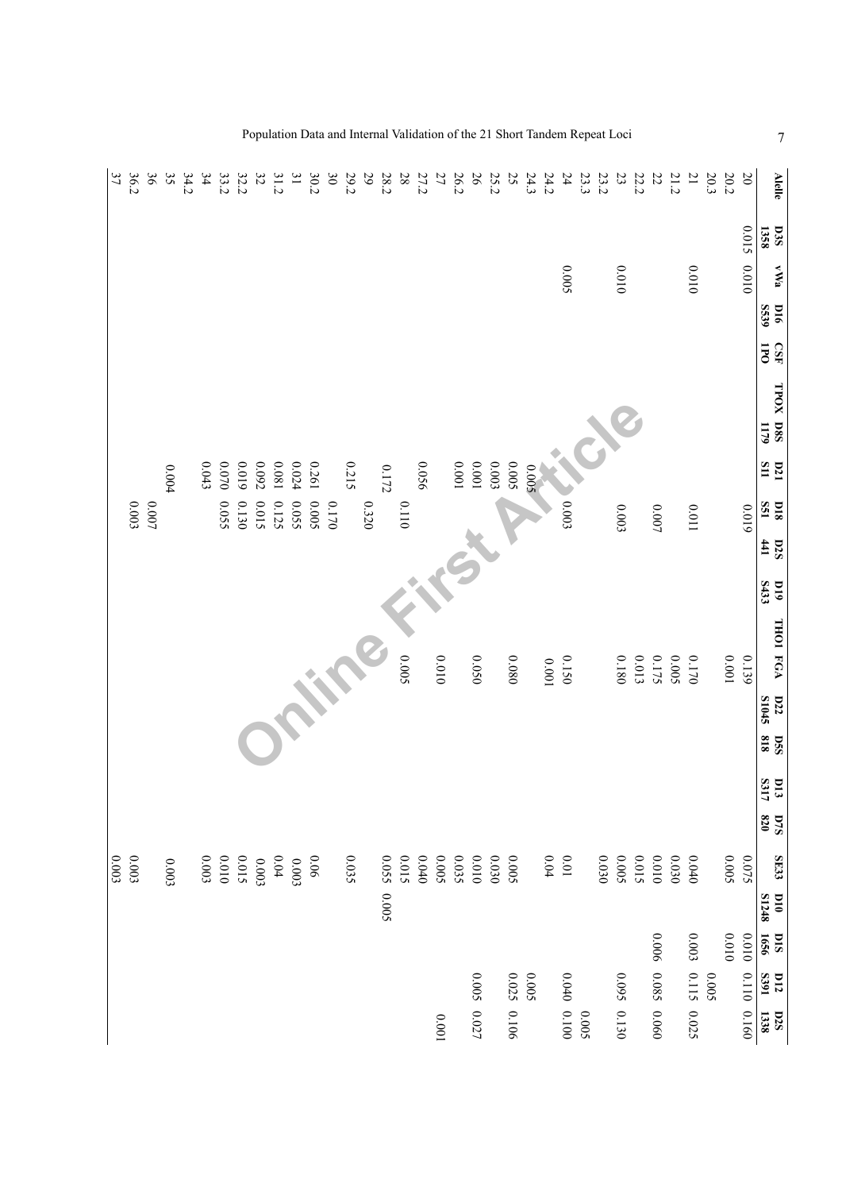| 37    | 36.2    | 36     | 35    | 34.2 | 34        | 33.2  | 32.2  | 32    | 31.2     | $\overline{\mathbf{31}}$ | 30.2  | 30      | 29.2  | 29    | 28.2      | $28\,$ | 27.2  | 27    | 26.2    | 26      | 25.2      | 25    | 24.3  | 24.2     | 24          | 23.3 | 23.2  | 23          | 22.2  | 22                | 21.2  | $\overline{21}$ | $20.3\,$ | $20.2\,$ | $\overline{0}$ | <b>Alelle</b>                              |
|-------|---------|--------|-------|------|-----------|-------|-------|-------|----------|--------------------------|-------|---------|-------|-------|-----------|--------|-------|-------|---------|---------|-----------|-------|-------|----------|-------------|------|-------|-------------|-------|-------------------|-------|-----------------|----------|----------|----------------|--------------------------------------------|
|       |         |        |       |      |           |       |       |       |          |                          |       |         |       |       |           |        |       |       |         |         |           |       |       |          |             |      |       |             |       |                   |       |                 |          |          | 0.015 0.010    | <b>D3S</b><br>1358                         |
|       |         |        |       |      |           |       |       |       |          |                          |       |         |       |       |           |        |       |       |         |         |           |       |       |          | 500.0       |      |       | 0.010       |       |                   |       | 0100            |          |          |                | <b>VWa</b>                                 |
|       |         |        |       |      |           |       |       |       |          |                          |       |         |       |       |           |        |       |       |         |         |           |       |       |          |             |      |       |             |       |                   |       |                 |          |          |                | S539<br>1016                               |
|       |         |        |       |      |           |       |       |       |          |                          |       |         |       |       |           |        |       |       |         |         |           |       |       |          |             |      |       |             |       |                   |       |                 |          |          |                | $\overline{5}$<br>GSL                      |
|       |         |        |       |      |           |       |       |       |          |                          |       |         |       |       |           |        |       |       |         |         |           |       |       |          |             |      |       |             |       |                   |       |                 |          |          |                | TPOX D8S<br>1179                           |
|       |         |        | 0.004 |      | $0.043\,$ | 0.070 | 6100  | 0.092 | 18000    | 0.024                    | 0.261 |         | 0.215 |       | $0.172\,$ |        | 950.0 |       | $100.0$ | $100.0$ | $0.003$   | 0.005 | 5000  |          |             |      |       |             |       |                   |       |                 |          |          |                | $\frac{D21}{511}$                          |
|       | $0.003$ | $0007$ |       |      |           | 50.55 | 0.130 | 0.015 | 0.125    | 0.055                    | 0.005 | $0.170$ |       | 0.320 |           | 0110   |       |       |         |         |           |       |       |          | 0.003       |      |       | 0.003       |       | 0.007             |       | 11000           |          |          | 6100           | <b>DIS</b><br>S51                          |
|       |         |        |       |      |           |       |       |       |          |                          |       |         |       |       |           |        |       |       |         |         |           |       |       |          |             |      |       |             |       |                   |       |                 |          |          |                | 441<br>D2S                                 |
|       |         |        |       |      |           |       |       |       |          |                          |       |         |       |       |           |        |       |       |         |         |           |       |       |          |             |      |       |             |       |                   |       |                 |          |          |                | S433<br>$_{010}$                           |
|       |         |        |       |      |           |       |       |       |          |                          |       |         |       |       |           |        |       |       |         |         |           |       |       |          |             |      |       |             |       |                   |       |                 |          |          |                | <b>THOI FGA</b>                            |
|       |         |        |       |      |           |       |       |       |          |                          |       |         |       |       |           | 5000   |       | 0.010 |         | 0.050   |           | 0800  |       | $100.0$  | 0.150       |      |       | 0.180       | 0.013 | 0.175             | 0.005 | 0.170           |          | 100.0    | 0.139          |                                            |
|       |         |        |       |      |           |       |       |       |          |                          |       |         |       |       |           |        |       |       |         |         |           |       |       |          |             |      |       |             |       |                   |       |                 |          |          |                | D22<br><b>S1045</b>                        |
|       |         |        |       |      |           |       |       |       |          |                          |       |         |       |       |           |        |       |       |         |         |           |       |       |          |             |      |       |             |       |                   |       |                 |          |          |                | 818<br><b>DSS</b>                          |
|       |         |        |       |      |           |       |       |       |          |                          |       |         |       |       |           |        |       |       |         |         |           |       |       |          |             |      |       |             |       |                   |       |                 |          |          |                | $\frac{D13}{S317}$                         |
|       |         |        |       |      |           |       |       |       |          |                          |       |         |       |       |           |        |       |       |         |         |           |       |       |          |             |      |       |             |       |                   |       |                 |          |          |                | $\begin{array}{c} 0.75 \\ 820 \end{array}$ |
| 0.003 | 6.003   |        | 0.003 |      | $0.003\,$ | 0100  | 2.015 | 0.003 | $0.04\,$ | 0.003                    | 90.06 |         | 0.035 |       | 0.055     | 5100   | 0.040 | 0.005 | 0.035   | 0100    | $0.030\,$ | 0.005 |       | $0.04\,$ | $10.0\,$    |      | 0.030 | 5000        | 0.015 | $0.010\,$         | 0.030 | $0.040\,$       |          | 5000     | 0.075          | SE33                                       |
|       |         |        |       |      |           |       |       |       |          |                          |       |         |       |       | 0.005     |        |       |       |         |         |           |       |       |          |             |      |       |             |       |                   |       |                 |          |          |                | S1248<br>$_{010}$                          |
|       |         |        |       |      |           |       |       |       |          |                          |       |         |       |       |           |        |       |       |         |         |           |       |       |          |             |      |       |             |       |                   |       | 0.003           |          | 0100     | 0100           | 1656<br>ois                                |
|       |         |        |       |      |           |       |       |       |          |                          |       |         |       |       |           |        |       |       |         | 0.005   |           | 0.025 | 0.005 |          |             |      |       |             |       | 0.006 0.085 0.060 |       | 0.115           | 0.005    |          |                | <b>1688</b><br>$\overline{u}$              |
|       |         |        |       |      |           |       |       |       |          |                          |       |         |       |       |           |        |       | 100.0 |         | 0.027   |           | 0.106 |       |          | 0.040 0.100 | 5000 |       | 0.095 0.130 |       |                   |       | 0.025           |          |          | 0.110 0.160    | 1338<br>D2S                                |

Population Data and Internal Validation of the 21 Short Tandem Repeat Loci 7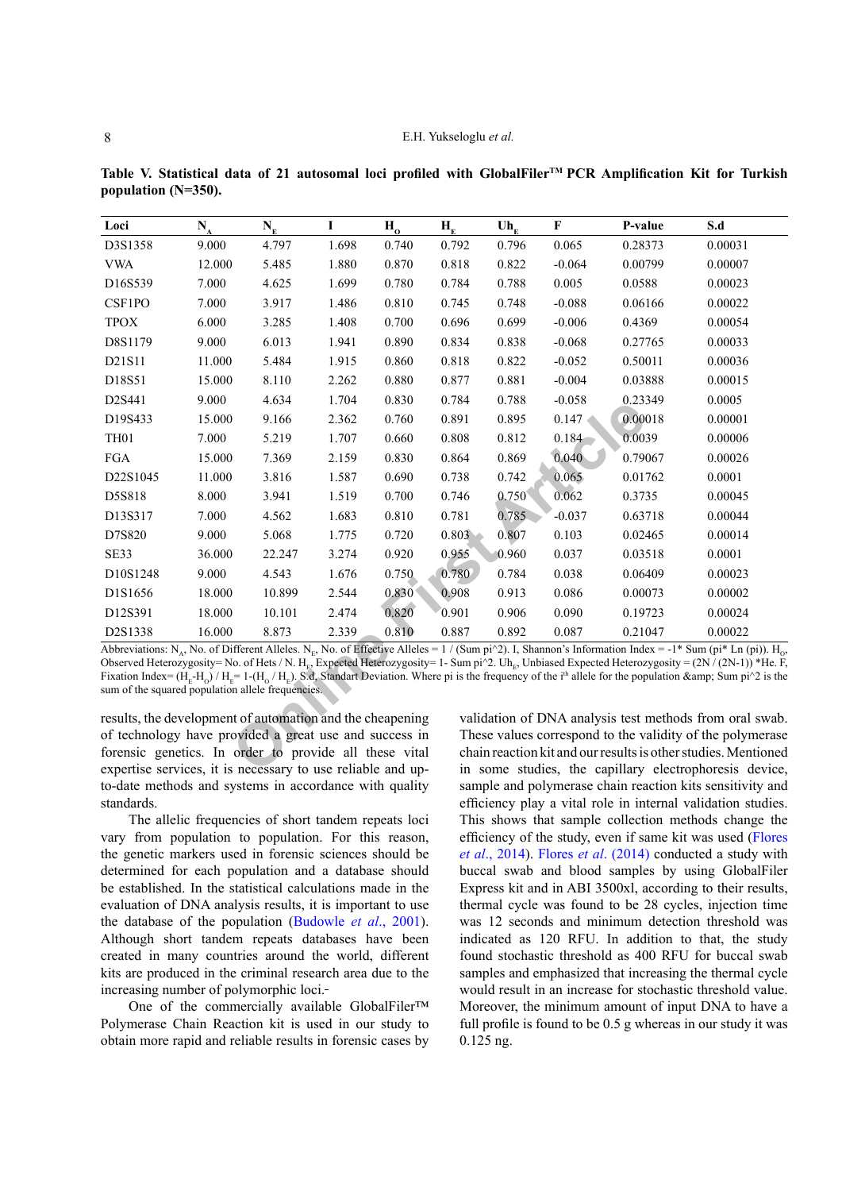| Loci                                                                                                                                                                                                                                                                                                                                                                                                                                                                                                                                                                                                                              | $\mathbf{N}_{\Lambda}$                                                                                                                                                                                                                      | $N_{E}$ | I     | $H_0$ | $\mathbf{H}_{\mathbf{E}}$ | $Uh_E$ | $\mathbf{F}$ | P-value                                                | S.d                                                            |  |  |  |  |  |
|-----------------------------------------------------------------------------------------------------------------------------------------------------------------------------------------------------------------------------------------------------------------------------------------------------------------------------------------------------------------------------------------------------------------------------------------------------------------------------------------------------------------------------------------------------------------------------------------------------------------------------------|---------------------------------------------------------------------------------------------------------------------------------------------------------------------------------------------------------------------------------------------|---------|-------|-------|---------------------------|--------|--------------|--------------------------------------------------------|----------------------------------------------------------------|--|--|--|--|--|
| D3S1358                                                                                                                                                                                                                                                                                                                                                                                                                                                                                                                                                                                                                           | 9.000                                                                                                                                                                                                                                       | 4.797   | 1.698 | 0.740 | 0.792                     | 0.796  | 0.065        | 0.28373                                                | 0.00031                                                        |  |  |  |  |  |
| <b>VWA</b>                                                                                                                                                                                                                                                                                                                                                                                                                                                                                                                                                                                                                        | 12.000                                                                                                                                                                                                                                      | 5.485   | 1.880 | 0.870 | 0.818                     | 0.822  | $-0.064$     | 0.00799                                                | 0.00007                                                        |  |  |  |  |  |
| D16S539                                                                                                                                                                                                                                                                                                                                                                                                                                                                                                                                                                                                                           | 7.000                                                                                                                                                                                                                                       | 4.625   | 1.699 | 0.780 | 0.784                     | 0.788  | 0.005        | 0.0588                                                 | 0.00023                                                        |  |  |  |  |  |
| CSF1PO                                                                                                                                                                                                                                                                                                                                                                                                                                                                                                                                                                                                                            | 7.000                                                                                                                                                                                                                                       | 3.917   | 1.486 | 0.810 | 0.745                     | 0.748  | $-0.088$     | 0.06166                                                | 0.00022                                                        |  |  |  |  |  |
| <b>TPOX</b>                                                                                                                                                                                                                                                                                                                                                                                                                                                                                                                                                                                                                       | 6.000                                                                                                                                                                                                                                       | 3.285   | 1.408 | 0.700 | 0.696                     | 0.699  | $-0.006$     | 0.4369                                                 | 0.00054                                                        |  |  |  |  |  |
| D8S1179                                                                                                                                                                                                                                                                                                                                                                                                                                                                                                                                                                                                                           | 9.000                                                                                                                                                                                                                                       | 6.013   | 1.941 | 0.890 | 0.834                     | 0.838  | $-0.068$     | 0.27765                                                | 0.00033                                                        |  |  |  |  |  |
| D21S11                                                                                                                                                                                                                                                                                                                                                                                                                                                                                                                                                                                                                            | 11.000                                                                                                                                                                                                                                      | 5.484   | 1.915 | 0.860 | 0.818                     | 0.822  | $-0.052$     | 0.50011                                                | 0.00036                                                        |  |  |  |  |  |
| D18S51                                                                                                                                                                                                                                                                                                                                                                                                                                                                                                                                                                                                                            | 15.000                                                                                                                                                                                                                                      | 8.110   | 2.262 | 0.880 | 0.877                     | 0.881  | $-0.004$     | 0.03888                                                | 0.00015                                                        |  |  |  |  |  |
| D2S441                                                                                                                                                                                                                                                                                                                                                                                                                                                                                                                                                                                                                            | 9.000                                                                                                                                                                                                                                       | 4.634   | 1.704 | 0.830 | 0.784                     | 0.788  | $-0.058$     | 0.23349                                                | 0.0005                                                         |  |  |  |  |  |
| D19S433                                                                                                                                                                                                                                                                                                                                                                                                                                                                                                                                                                                                                           | 15.000                                                                                                                                                                                                                                      | 9.166   | 2.362 | 0.760 | 0.891                     | 0.895  | 0.147        | 0.00018                                                | 0.00001                                                        |  |  |  |  |  |
| TH <sub>01</sub>                                                                                                                                                                                                                                                                                                                                                                                                                                                                                                                                                                                                                  | 7.000                                                                                                                                                                                                                                       | 5.219   | 1.707 | 0.660 | 0.808                     | 0.812  | $0.184 -$    | 0.0039                                                 | 0.00006                                                        |  |  |  |  |  |
| <b>FGA</b>                                                                                                                                                                                                                                                                                                                                                                                                                                                                                                                                                                                                                        | 15.000                                                                                                                                                                                                                                      | 7.369   | 2.159 | 0.830 | 0.864                     | 0.869  | 0.040        | 0.79067                                                | 0.00026                                                        |  |  |  |  |  |
| D22S1045                                                                                                                                                                                                                                                                                                                                                                                                                                                                                                                                                                                                                          | 11.000                                                                                                                                                                                                                                      | 3.816   | 1.587 | 0.690 | 0.738                     | 0.742  | 0.065        | 0.01762                                                | 0.0001                                                         |  |  |  |  |  |
| D5S818                                                                                                                                                                                                                                                                                                                                                                                                                                                                                                                                                                                                                            | 8.000                                                                                                                                                                                                                                       | 3.941   | 1.519 | 0.700 | 0.746                     | 0.750  | 0.062        | 0.3735                                                 | 0.00045                                                        |  |  |  |  |  |
| D13S317                                                                                                                                                                                                                                                                                                                                                                                                                                                                                                                                                                                                                           | 7.000                                                                                                                                                                                                                                       | 4.562   | 1.683 | 0.810 | 0.781                     | 0.785  | $-0.037$     | 0.63718                                                | 0.00044                                                        |  |  |  |  |  |
| D7S820                                                                                                                                                                                                                                                                                                                                                                                                                                                                                                                                                                                                                            | 9.000                                                                                                                                                                                                                                       | 5.068   | 1.775 | 0.720 | 0.803                     | 0.807  | 0.103        | 0.02465                                                | 0.00014                                                        |  |  |  |  |  |
| SE33                                                                                                                                                                                                                                                                                                                                                                                                                                                                                                                                                                                                                              | 36.000                                                                                                                                                                                                                                      | 22.247  | 3.274 | 0.920 | 0.955                     | 0.960  | 0.037        | 0.03518                                                | 0.0001                                                         |  |  |  |  |  |
| D10S1248                                                                                                                                                                                                                                                                                                                                                                                                                                                                                                                                                                                                                          | 9.000                                                                                                                                                                                                                                       | 4.543   | 1.676 | 0.750 | 0.780                     | 0.784  | 0.038        | 0.06409                                                | 0.00023                                                        |  |  |  |  |  |
| D1S1656                                                                                                                                                                                                                                                                                                                                                                                                                                                                                                                                                                                                                           | 18.000                                                                                                                                                                                                                                      | 10.899  | 2.544 | 0.830 | 0.908                     | 0.913  | 0.086        | 0.00073                                                | 0.00002                                                        |  |  |  |  |  |
| D12S391                                                                                                                                                                                                                                                                                                                                                                                                                                                                                                                                                                                                                           | 18.000                                                                                                                                                                                                                                      | 10.101  | 2.474 | 0.820 | 0.901                     | 0.906  | 0.090        | 0.19723                                                | 0.00024                                                        |  |  |  |  |  |
| D2S1338                                                                                                                                                                                                                                                                                                                                                                                                                                                                                                                                                                                                                           | 16.000                                                                                                                                                                                                                                      | 8.873   | 2.339 | 0.810 | 0.887                     | 0.892  | 0.087        | 0.21047                                                | 0.00022                                                        |  |  |  |  |  |
| Abbreviations: N <sub>A</sub> , No. of Different Alleles. N <sub>E</sub> , No. of Effective Alleles = $\frac{1}{1}$ (Sum pi^2). I, Shannon's Information Index = -1* Sum (pi* Ln (pi)). H <sub>0</sub> ,<br>Observed Heterozygosity= No. of Hets / N. H <sub>E2</sub> Expected Heterozygosity= 1- Sum pi^2. Uh <sub>E3</sub> Unbiased Expected Heterozygosity = $(2N/(2N-1))$ *He. F,<br>Fixation Index= $(H_E-H_0)/H_E=1-(H_0/H_E)$ . S.d. Standart Deviation. Where pi is the frequency of the i <sup>th</sup> allele for the population & amp; Sum pi <sup>2</sup> is the<br>sum of the squared population allele frequencies. |                                                                                                                                                                                                                                             |         |       |       |                           |        |              |                                                        |                                                                |  |  |  |  |  |
|                                                                                                                                                                                                                                                                                                                                                                                                                                                                                                                                                                                                                                   | results, the development of automation and the cheapening<br>validation of DNA analysis test methods from oral swab.<br>of technology have provided a great use and success in<br>These values correspond to the validity of the polymerase |         |       |       |                           |        |              |                                                        |                                                                |  |  |  |  |  |
| forensic genetics. In order to provide all these vital                                                                                                                                                                                                                                                                                                                                                                                                                                                                                                                                                                            |                                                                                                                                                                                                                                             |         |       |       |                           |        |              |                                                        | chain reaction kit and our results is other studies. Mentioned |  |  |  |  |  |
| expertise services, it is necessary to use reliable and up-                                                                                                                                                                                                                                                                                                                                                                                                                                                                                                                                                                       |                                                                                                                                                                                                                                             |         |       |       |                           |        |              | in some studies, the capillary electrophoresis device. |                                                                |  |  |  |  |  |

<span id="page-7-0"></span>**Table V. Statistical data of 21 autosomal loci profiled with GlobalFilerTM PCR Amplification Kit for Turkish population (N=350).**

results, the development of automation and the cheapening of technology have provided a great use and success in forensic genetics. In order to provide all these vital expertise services, it is necessary to use reliable and upto-date methods and systems in accordance with quality standards.

The allelic frequencies of short tandem repeats loci vary from population to population. For this reason, the genetic markers used in forensic sciences should be determined for each population and a database should be established. In the statistical calculations made in the evaluation of DNA analysis results, it is important to use the database of the population ([Budowle](#page-9-1) *et al*., 2001). Although short tandem repeats databases have been created in many countries around the world, different kits are produced in the criminal research area due to the increasing number of polymorphic loci.

One of the commercially available GlobalFiler™ Polymerase Chain Reaction kit is used in our study to obtain more rapid and reliable results in forensic cases by validation of DNA analysis test methods from oral swab. These values correspond to the validity of the polymerase chain reaction kit and our results is other studies. Mentioned in some studies, the capillary electrophoresis device, sample and polymerase chain reaction kits sensitivity and efficiency play a vital role in internal validation studies. This shows that sample collection methods change the efficiency of the study, even if same kit was used [\(Flores](#page-10-11) *et al*[., 2014\)](#page-10-11). Flores *et al*[. \(2014\)](#page-10-11) conducted a study with buccal swab and blood samples by using GlobalFiler Express kit and in ABI 3500xl, according to their results, thermal cycle was found to be 28 cycles, injection time was 12 seconds and minimum detection threshold was indicated as 120 RFU. In addition to that, the study found stochastic threshold as 400 RFU for buccal swab samples and emphasized that increasing the thermal cycle would result in an increase for stochastic threshold value. Moreover, the minimum amount of input DNA to have a full profile is found to be 0.5 g whereas in our study it was 0.125 ng.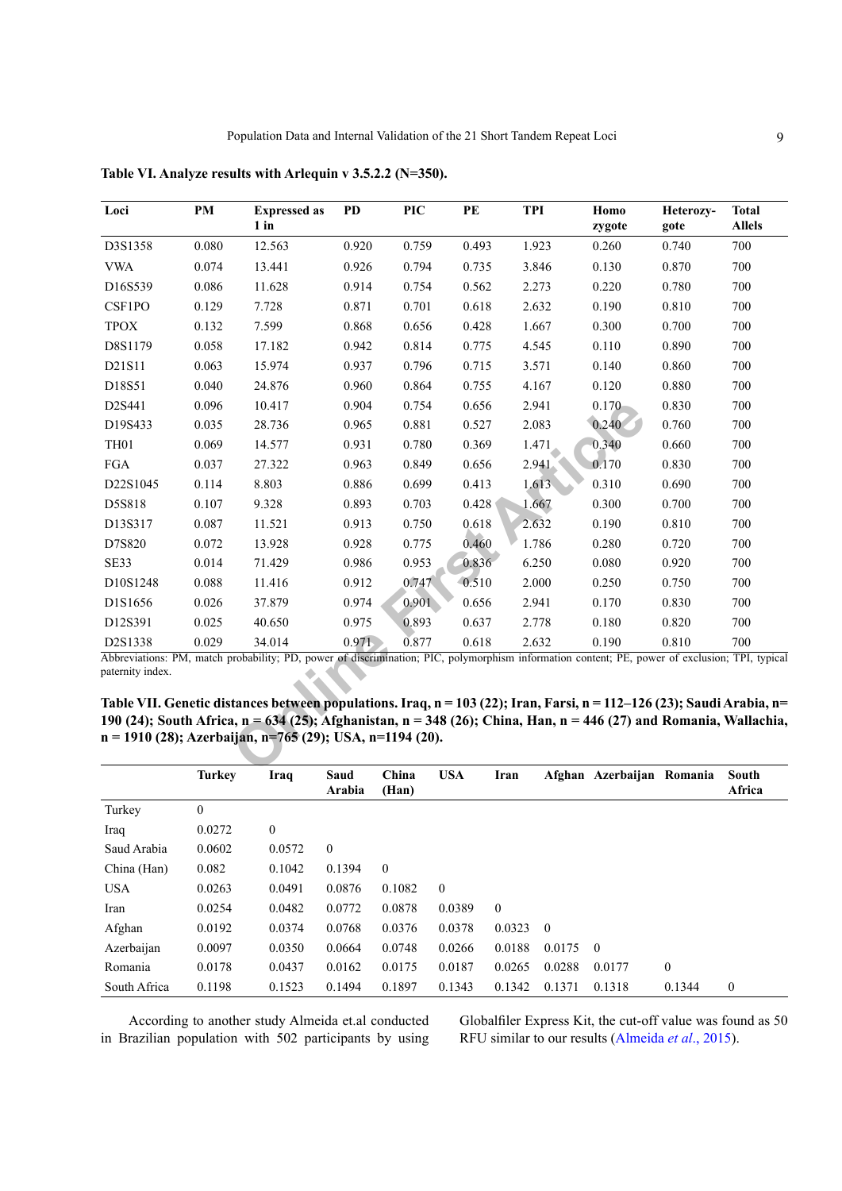| Loci             | PM           | <b>Expressed as</b><br>$1$ in                                                                                                                                                                                                                                           | <b>PD</b>                   | <b>PIC</b> | PE    | <b>TPI</b> | Homo                        | Heterozy-    | <b>Total</b><br><b>Allels</b> |
|------------------|--------------|-------------------------------------------------------------------------------------------------------------------------------------------------------------------------------------------------------------------------------------------------------------------------|-----------------------------|------------|-------|------------|-----------------------------|--------------|-------------------------------|
|                  |              |                                                                                                                                                                                                                                                                         |                             |            |       |            | zygote                      | gote         |                               |
| D3S1358          | 0.080        | 12.563                                                                                                                                                                                                                                                                  | 0.920                       | 0.759      | 0.493 | 1.923      | 0.260                       | 0.740        | 700                           |
| <b>VWA</b>       | 0.074        | 13.441                                                                                                                                                                                                                                                                  | 0.926                       | 0.794      | 0.735 | 3.846      | 0.130                       | 0.870        | 700                           |
| D16S539          | 0.086        | 11.628                                                                                                                                                                                                                                                                  | 0.914                       | 0.754      | 0.562 | 2.273      | 0.220                       | 0.780        | 700                           |
| CSF1PO           | 0.129        | 7.728                                                                                                                                                                                                                                                                   | 0.871                       | 0.701      | 0.618 | 2.632      | 0.190                       | 0.810        | 700                           |
| <b>TPOX</b>      | 0.132        | 7.599                                                                                                                                                                                                                                                                   | 0.868                       | 0.656      | 0.428 | 1.667      | 0.300                       | 0.700        | 700                           |
| D8S1179          | 0.058        | 17.182                                                                                                                                                                                                                                                                  | 0.942                       | 0.814      | 0.775 | 4.545      | 0.110                       | 0.890        | 700                           |
| D21S11           | 0.063        | 15.974                                                                                                                                                                                                                                                                  | 0.937                       | 0.796      | 0.715 | 3.571      | 0.140                       | 0.860        | 700                           |
| D18S51           | 0.040        | 24.876                                                                                                                                                                                                                                                                  | 0.960                       | 0.864      | 0.755 | 4.167      | 0.120                       | 0.880        | 700                           |
| D2S441           | 0.096        | 10.417                                                                                                                                                                                                                                                                  | 0.904                       | 0.754      | 0.656 | 2.941      | $0.170 -$                   | 0.830        | 700                           |
| D19S433          | 0.035        | 28.736                                                                                                                                                                                                                                                                  | 0.965                       | 0.881      | 0.527 | 2.083      | 0.240                       | 0.760        | 700                           |
| TH01             | 0.069        | 14.577                                                                                                                                                                                                                                                                  | 0.931                       | 0.780      | 0.369 | 1.471      | 0.340                       | 0.660        | 700                           |
| $_{\rm FGA}$     | 0.037        | 27.322                                                                                                                                                                                                                                                                  | 0.963                       | 0.849      | 0.656 | 2.941      | 0.170                       | 0.830        | 700                           |
| D22S1045         | 0.114        | 8.803                                                                                                                                                                                                                                                                   | 0.886                       | 0.699      | 0.413 | 1.613      | 0.310                       | 0.690        | 700                           |
| D5S818           | 0.107        | 9.328                                                                                                                                                                                                                                                                   | 0.893                       | 0.703      | 0.428 | 1.667      | 0.300                       | 0.700        | 700                           |
| D13S317          | 0.087        | 11.521                                                                                                                                                                                                                                                                  | 0.913                       | 0.750      | 0.618 | 2.632      | 0.190                       | 0.810        | 700                           |
| D7S820           | 0.072        | 13.928                                                                                                                                                                                                                                                                  | 0.928                       | 0.775      | 0.460 | 1.786      | 0.280                       | 0.720        | 700                           |
| SE33             | 0.014        | 71.429                                                                                                                                                                                                                                                                  | 0.986                       | 0.953      | 0.836 | 6.250      | 0.080                       | 0.920        | 700                           |
| D10S1248         | 0.088        | 11.416                                                                                                                                                                                                                                                                  | 0.912                       | 0.747      | 0.510 | 2.000      | 0.250                       | 0.750        | 700                           |
| D1S1656          | 0.026        | 37.879                                                                                                                                                                                                                                                                  | 0.974                       | 0.901      | 0.656 | 2.941      | 0.170                       | 0.830        | 700                           |
| D12S391          | 0.025        | 40.650                                                                                                                                                                                                                                                                  | 0.975                       | 0.893      | 0.637 | 2.778      | 0.180                       | 0.820        | 700                           |
| D2S1338          | 0.029        | 34.014                                                                                                                                                                                                                                                                  | 0.971                       | 0.877      | 0.618 | 2.632      | 0.190                       | 0.810        | 700                           |
| paternity index. |              | Abbreviations: PM, match probability; PD, power of discrimination; PIC, polymorphism information content; PE, power of exclusion; TPI, typical<br>Table VII. Genetic distances between populations. Iraq, n = 103 (22); Iran, Farsi, n = 112–126 (23); Saudi Arabia, n= |                             |            |       |            |                             |              |                               |
|                  | <b>TP JU</b> | 190 (24); South Africa, $n = 634$ (25); Afghanistan, $n = 348$ (26); China, Han, $n = 446$ (27) and Romania, Wallachia,<br>n = 1910 (28); Azerbaijan, n=765 (29); USA, n=1194 (20).                                                                                     | $\alpha = \alpha$<br>$\sim$ | TTCLA      | т.    | 4.0.1      | $\mathbf{u}$ . $\mathbf{v}$ | $\mathbf{r}$ | $\Omega$ .                    |

<span id="page-8-0"></span>**Table VI. Analyze results with Arlequin v 3.5.2.2 (N=350).**

<span id="page-8-1"></span>**Table VII. Genetic distances between populations. Iraq, n = 103 (22); Iran, Farsi, n = 112–126 (23); Saudi Arabia, n= 190 (24); South Africa, n = 634 (25); Afghanistan, n = 348 (26); China, Han, n = 446 (27) and Romania, Wallachia, n = 1910 (28); Azerbaijan, n=765 (29); USA, n=1194 (20).**

|              | <b>Turkey</b>    | Iraq             | Saud<br>Arabia | China<br>(Han) | <b>USA</b>   | Iran         |          | Afghan Azerbaijan Romania |              | South<br>Africa |
|--------------|------------------|------------------|----------------|----------------|--------------|--------------|----------|---------------------------|--------------|-----------------|
| Turkey       | $\boldsymbol{0}$ |                  |                |                |              |              |          |                           |              |                 |
| Iraq         | 0.0272           | $\boldsymbol{0}$ |                |                |              |              |          |                           |              |                 |
| Saud Arabia  | 0.0602           | 0.0572           | $\theta$       |                |              |              |          |                           |              |                 |
| China (Han)  | 0.082            | 0.1042           | 0.1394         | $\theta$       |              |              |          |                           |              |                 |
| <b>USA</b>   | 0.0263           | 0.0491           | 0.0876         | 0.1082         | $\mathbf{0}$ |              |          |                           |              |                 |
| Iran         | 0.0254           | 0.0482           | 0.0772         | 0.0878         | 0.0389       | $\mathbf{0}$ |          |                           |              |                 |
| Afghan       | 0.0192           | 0.0374           | 0.0768         | 0.0376         | 0.0378       | 0.0323       | $\theta$ |                           |              |                 |
| Azerbaijan   | 0.0097           | 0.0350           | 0.0664         | 0.0748         | 0.0266       | 0.0188       | 0.0175   | $\overline{0}$            |              |                 |
| Romania      | 0.0178           | 0.0437           | 0.0162         | 0.0175         | 0.0187       | 0.0265       | 0.0288   | 0.0177                    | $\mathbf{0}$ |                 |
| South Africa | 0.1198           | 0.1523           | 0.1494         | 0.1897         | 0.1343       | 0.1342       | 0.1371   | 0.1318                    | 0.1344       | $\theta$        |

According to another study Almeida et.al conducted in Brazilian population with 502 participants by using Globalfiler Express Kit, the cut-off value was found as 50 RFU similar to our results [\(Almeida](#page-9-2) *et al*., 2015).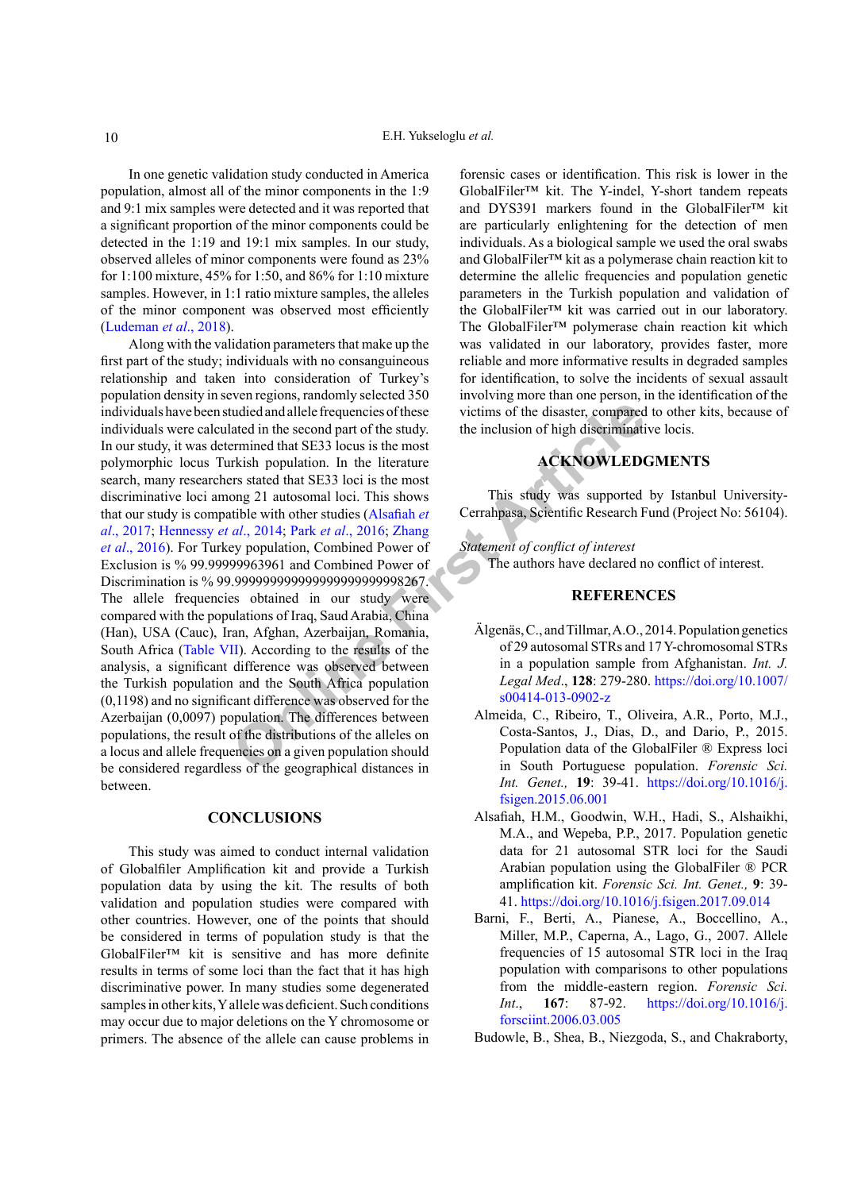In one genetic validation study conducted in America population, almost all of the minor components in the 1:9 and 9:1 mix samples were detected and it was reported that a significant proportion of the minor components could be detected in the 1:19 and 19:1 mix samples. In our study, observed alleles of minor components were found as 23% for 1:100 mixture, 45% for 1:50, and 86% for 1:10 mixture samples. However, in 1:1 ratio mixture samples, the alleles of the minor component was observed most efficiently (Ludeman *et al*., 2018).

Article and allele frequencies of these<br>
victims of the disaster, compared<br>
ated in the second part of the study.<br>
This hoppulation of high disseriminati<br>
remined that SE33 locus is the most<br>
Fix stated that SE33 locis is Along with the validation parameters that make up the first part of the study; individuals with no consanguineous relationship and taken into consideration of Turkey's population density in seven regions, randomly selected 350 individuals have been studied and allele frequencies of these individuals were calculated in the second part of the study. In our study, it was determined that SE33 locus is the most polymorphic locus Turkish population. In the literature search, many researchers stated that SE33 loci is the most discriminative loci among 21 autosomal loci. This shows that our study is compatible with other studies (Alsafiah *et al*[., 2017](#page-9-0); Hennessy *et al*., 2014; Park *et al*., 2016; Zhang *et al*[., 2016](#page-11-1)). For Turkey population, Combined Power of Exclusion is % 99.99999963961 and Combined Power of Discrimination is % 99.999999999999999999999998267. The allele frequencies obtained in our study were compared with the populations of Iraq, Saud Arabia, China (Han), USA (Cauc), Iran, Afghan, Azerbaijan, Romania, South Africa ([Table VII\)](#page-8-1). According to the results of the analysis, a significant difference was observed between the Turkish population and the South Africa population (0,1198) and no significant difference was observed for the Azerbaijan (0,0097) population. The differences between populations, the result of the distributions of the alleles on a locus and allele frequencies on a given population should be considered regardless of the geographical distances in between.

#### **CONCLUSIONS**

This study was aimed to conduct internal validation of Globalfiler Amplification kit and provide a Turkish population data by using the kit. The results of both validation and population studies were compared with other countries. However, one of the points that should be considered in terms of population study is that the GlobalFiler™ kit is sensitive and has more definite results in terms of some loci than the fact that it has high discriminative power. In many studies some degenerated samples in other kits, Y allele was deficient. Such conditions may occur due to major deletions on the Y chromosome or primers. The absence of the allele can cause problems in

forensic cases or identification. This risk is lower in the GlobalFiler™ kit. The Y-indel, Y-short tandem repeats and DYS391 markers found in the GlobalFiler™ kit are particularly enlightening for the detection of men individuals. As a biological sample we used the oral swabs and GlobalFiler™ kit as a polymerase chain reaction kit to determine the allelic frequencies and population genetic parameters in the Turkish population and validation of the GlobalFiler™ kit was carried out in our laboratory. The GlobalFiler™ polymerase chain reaction kit which was validated in our laboratory, provides faster, more reliable and more informative results in degraded samples for identification, to solve the incidents of sexual assault involving more than one person, in the identification of the victims of the disaster, compared to other kits, because of the inclusion of high discriminative locis.

# **ACKNOWLEDGMENTS**

This study was supported by Istanbul University-Cerrahpasa, Scientific Research Fund (Project No: 56104).

*Statement of conflict of interest* 

The authors have declared no conflict of interest.

#### **REFERENCES**

- Älgenäs, C., and Tillmar, A.O., 2014. Population genetics of 29 autosomal STRs and 17 Y-chromosomal STRs in a population sample from Afghanistan. *Int. J. Legal Med*., **128**: 279-280. [https://doi.org/10.1007/](https://doi.org/10.1007/s00414-013-0902-z) s00414-013-0902-z
- <span id="page-9-2"></span>Almeida, C., Ribeiro, T., Oliveira, A.R., Porto, M.J., Costa-Santos, J., Dias, D., and Dario, P., 2015. Population data of the GlobalFiler ® Express loci in South Portuguese population. *Forensic Sci. Int. Genet.,* **19**: 39-41. [https://doi.org/10.1016/j.](https://doi.org/10.1016/j.fsigen.2015.06.001) [fsigen.2015.06.001](https://doi.org/10.1016/j.fsigen.2015.06.001)
- <span id="page-9-0"></span>Alsafiah, H.M., Goodwin, W.H., Hadi, S., Alshaikhi, M.A., and Wepeba, P.P., 2017. Population genetic data for 21 autosomal STR loci for the Saudi Arabian population using the GlobalFiler ® PCR amplification kit. *Forensic Sci. Int. Genet.,* **9**: 39- 41.<https://doi.org/10.1016/j.fsigen.2017.09.014>
- Barni, F., Berti, A., Pianese, A., Boccellino, A., Miller, M.P., Caperna, A., Lago, G., 2007. Allele frequencies of 15 autosomal STR loci in the Iraq population with comparisons to other populations from the middle-eastern region. *Forensic Sci. Int*., **167**: 87-92. [https://doi.org/10.1016/j.](https://doi.org/10.1016/j.forsciint.2006.03.005) [forsciint.2006.03.005](https://doi.org/10.1016/j.forsciint.2006.03.005)
- <span id="page-9-1"></span>Budowle, B., Shea, B., Niezgoda, S., and Chakraborty,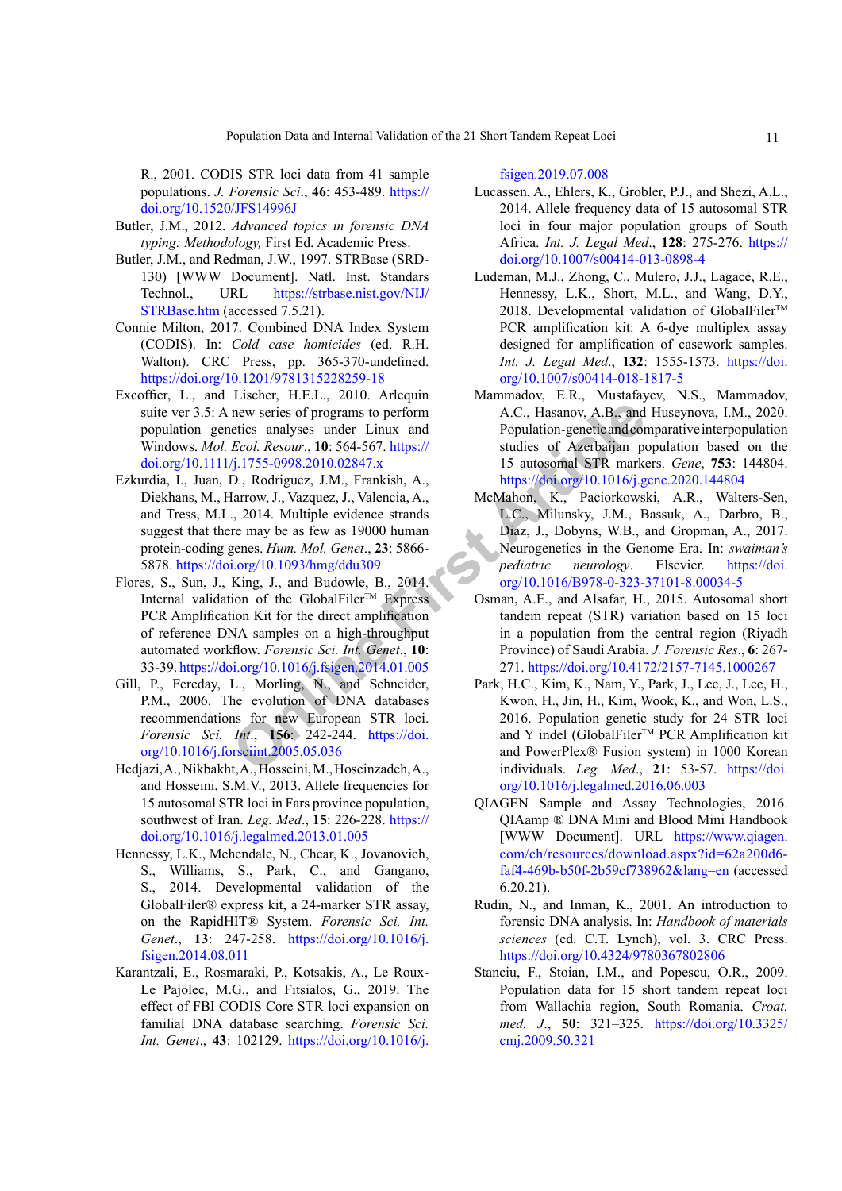R., 2001. CODIS STR loci data from 41 sample populations. *J. Forensic Sci*., **46**: 453-489. [https://](https://doi.org/10.1520/JFS14996J) [doi.org/10.1520/JFS14996J](https://doi.org/10.1520/JFS14996J)

- <span id="page-10-1"></span>Butler, J.M., 2012. *Advanced topics in forensic DNA typing: Methodology,* First Ed. Academic Press.
- <span id="page-10-8"></span>Butler, J.M., and Redman, J.W., 1997. STRBase (SRD-130) [WWW Document]. Natl. Inst. Standars Technol., URL [https://strbase.nist.gov/NIJ/](https://strbase.nist.gov/NIJ/STRBase.htm) [STRBase.htm](https://strbase.nist.gov/NIJ/STRBase.htm) (accessed 7.5.21).
- <span id="page-10-3"></span>Connie Milton, 2017. Combined DNA Index System (CODIS). In: *Cold case homicides* (ed. R.H. Walton). CRC Press, pp. 365-370-undefined. <https://doi.org/10.1201/9781315228259-18>
- <span id="page-10-7"></span>Excoffier, L., and Lischer, H.E.L., 2010. Arlequin suite ver 3.5: A new series of programs to perform population genetics analyses under Linux and Windows. *Mol. Ecol. Resour*., **10**: 564-567. https:// [doi.org/10.1111/j.1755-0998.2010.02847.x](https://doi.org/10.1111/j.1755-0998.2010.02847.x)
- <span id="page-10-11"></span><span id="page-10-2"></span>Ezkurdia, I., Juan, D., Rodriguez, J.M., Frankish, A., Diekhans, M., Harrow, J., Vazquez, J., Valencia, A., and Tress, M.L., 2014. Multiple evidence strands suggest that there may be as few as 19000 human protein-coding genes. *Hum. Mol. Genet*., **23**: 5866- 5878. <https://doi.org/10.1093/hmg/ddu309>
- **Example 12** and the set and the set and the set and the set and the set and the set and the set and the set are set as a set as 19000 mm (A.C., Hasanov, A.B., and Fould and Str Renation D., Rodniguez, J., Vazquez, J., Vaz Flores, S., Sun, J., King, J., and Budowle, B., 2014. Internal validation of the GlobalFiler<sup>TM</sup> Express PCR Amplification Kit for the direct amplification of reference DNA samples on a high-throughput automated workflow. *Forensic Sci. Int. Genet*., **10**: 33-39. https://doi.org/10.1016/j.fsigen.2014.01.005
- <span id="page-10-5"></span>Gill, P., Fereday, L., Morling, N., and Schneider, P.M., 2006. The evolution of DNA databases recommendations for new European STR loci. *Forensic Sci. Int*., **156**: 242-244. https://doi. [org/10.1016/j.forsciint.2005.05.036](https://doi.org/10.1016/j.forsciint.2005.05.036)
- Hedjazi, A., Nikbakht, A., Hosseini, M., Hoseinzadeh, A., and Hosseini, S.M.V., 2013. Allele frequencies for 15 autosomal STR loci in Fars province population, southwest of Iran. *Leg. Med*., **15**: 226-228. [https://](https://doi.org/10.1016/j.legalmed.2013.01.005) [doi.org/10.1016/j.legalmed.2013.01.005](https://doi.org/10.1016/j.legalmed.2013.01.005)
- <span id="page-10-12"></span>Hennessy, L.K., Mehendale, N., Chear, K., Jovanovich, S., Williams, S., Park, C., and Gangano, S., 2014. Developmental validation of the GlobalFiler® express kit, a 24-marker STR assay, on the RapidHIT® System. *Forensic Sci. Int. Genet*., **13**: 247-258. [https://doi.org/10.1016/j.](https://doi.org/10.1016/j.fsigen.2014.08.011) [fsigen.2014.08.011](https://doi.org/10.1016/j.fsigen.2014.08.011)
- <span id="page-10-4"></span>Karantzali, E., Rosmaraki, P., Kotsakis, A., Le Roux-Le Pajolec, M.G., and Fitsialos, G., 2019. The effect of FBI CODIS Core STR loci expansion on familial DNA database searching. *Forensic Sci. Int. Genet*., **43**: 102129. [https://doi.org/10.1016/j.](https://doi.org/10.1016/j.fsigen.2019.07.008)

[fsigen.2019.07.008](https://doi.org/10.1016/j.fsigen.2019.07.008)

- Lucassen, A., Ehlers, K., Grobler, P.J., and Shezi, A.L., 2014. Allele frequency data of 15 autosomal STR loci in four major population groups of South Africa. *Int. J. Legal Med*., **128**: 275-276. [https://](https://doi.org/10.1007/s00414-013-0898-4) [doi.org/10.1007/s00414-013-0898-4](https://doi.org/10.1007/s00414-013-0898-4)
- Ludeman, M.J., Zhong, C., Mulero, J.J., Lagacé, R.E., Hennessy, L.K., Short, M.L., and Wang, D.Y., 2018. Developmental validation of GlobalFiler™ PCR amplification kit: A 6-dye multiplex assay designed for amplification of casework samples. *Int. J. Legal Med*., **132**: 1555-1573. [https://doi.](https://doi.org/10.1007/s00414-018-1817-5) [org/10.1007/s00414-018-1817-5](https://doi.org/10.1007/s00414-018-1817-5)
- Mammadov, E.R., Mustafayev, N.S., Mammadov, A.C., Hasanov, A.B., and Huseynova, I.M., 2020. Population-genetic and comparative interpopulation studies of Azerbaijan population based on the 15 autosomal STR markers. *Gene*, **753**: 144804. <https://doi.org/10.1016/j.gene.2020.144804>
- <span id="page-10-0"></span>McMahon, K., Paciorkowski, A.R., Walters-Sen, L.C., Milunsky, J.M., Bassuk, A., Darbro, B., Diaz, J., Dobyns, W.B., and Gropman, A., 2017. Neurogenetics in the Genome Era. In: *swaiman's pediatric neurology*. Elsevier. [https://doi.](https://doi.org/10.1016/B978-0-323-37101-8.00034-5) [org/10.1016/B978-0-323-37101-8.00034-5](https://doi.org/10.1016/B978-0-323-37101-8.00034-5)
- Osman, A.E., and Alsafar, H., 2015. Autosomal short tandem repeat (STR) variation based on 15 loci in a population from the central region (Riyadh Province) of Saudi Arabia. *J. Forensic Res*., **6**: 267- 271.<https://doi.org/10.4172/2157-7145.1000267>
- <span id="page-10-9"></span>Park, H.C., Kim, K., Nam, Y., Park, J., Lee, J., Lee, H., Kwon, H., Jin, H., Kim, Wook, K., and Won, L.S., 2016. Population genetic study for 24 STR loci and Y indel (GlobalFiler™ PCR Amplification kit and PowerPlex® Fusion system) in 1000 Korean individuals. *Leg. Med*., **21**: 53-57. [https://doi.](https://doi.org/10.1016/j.legalmed.2016.06.003) [org/10.1016/j.legalmed.2016.06.003](https://doi.org/10.1016/j.legalmed.2016.06.003)
- <span id="page-10-6"></span>QIAGEN Sample and Assay Technologies, 2016. QIAamp ® DNA Mini and Blood Mini Handbook [WWW Document]. URL [https://www.qiagen.](https://www.qiagen.com/ch/resources/download.aspx?id=62a200d6-faf4-469b-b50f-2b59cf738962&lang=en) [com/ch/resources/download.aspx?id=62a200d6](https://www.qiagen.com/ch/resources/download.aspx?id=62a200d6-faf4-469b-b50f-2b59cf738962&lang=en) [faf4-469b-b50f-2b59cf738962&lang=en](https://www.qiagen.com/ch/resources/download.aspx?id=62a200d6-faf4-469b-b50f-2b59cf738962&lang=en) (accessed 6.20.21).
- <span id="page-10-10"></span>Rudin, N., and Inman, K., 2001. An introduction to forensic DNA analysis. In: *Handbook of materials sciences* (ed. C.T. Lynch), vol. 3. CRC Press. <https://doi.org/10.4324/9780367802806>
- Stanciu, F., Stoian, I.M., and Popescu, O.R., 2009. Population data for 15 short tandem repeat loci from Wallachia region, South Romania. *Croat. med. J*., **50**: 321–325. [https://doi.org/10.3325/](https://doi.org/10.3325/cmj.2009.50.321) [cmj.2009.50.321](https://doi.org/10.3325/cmj.2009.50.321)